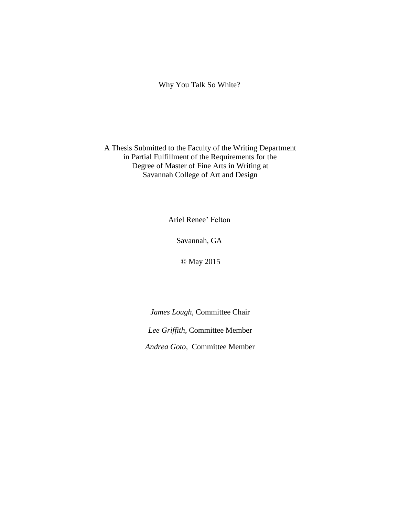Why You Talk So White?

### A Thesis Submitted to the Faculty of the Writing Department in Partial Fulfillment of the Requirements for the Degree of Master of Fine Arts in Writing at Savannah College of Art and Design

Ariel Renee' Felton

Savannah, GA

© May 2015

*James Lough*, Committee Chair *Lee Griffith*, Committee Member *Andrea Goto,* Committee Member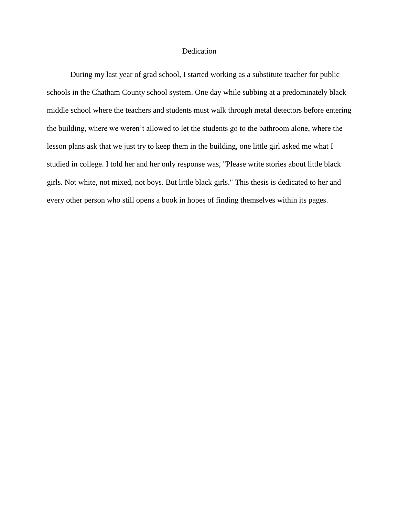#### Dedication

During my last year of grad school, I started working as a substitute teacher for public schools in the Chatham County school system. One day while subbing at a predominately black middle school where the teachers and students must walk through metal detectors before entering the building, where we weren't allowed to let the students go to the bathroom alone, where the lesson plans ask that we just try to keep them in the building, one little girl asked me what I studied in college. I told her and her only response was, "Please write stories about little black girls. Not white, not mixed, not boys. But little black girls." This thesis is dedicated to her and every other person who still opens a book in hopes of finding themselves within its pages.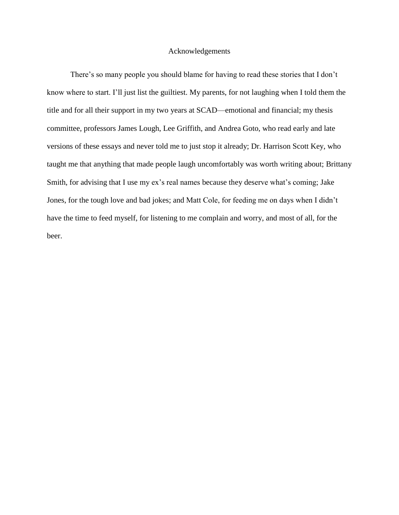#### Acknowledgements

There's so many people you should blame for having to read these stories that I don't know where to start. I'll just list the guiltiest. My parents, for not laughing when I told them the title and for all their support in my two years at SCAD—emotional and financial; my thesis committee, professors James Lough, Lee Griffith, and Andrea Goto, who read early and late versions of these essays and never told me to just stop it already; Dr. Harrison Scott Key, who taught me that anything that made people laugh uncomfortably was worth writing about; Brittany Smith, for advising that I use my ex's real names because they deserve what's coming; Jake Jones, for the tough love and bad jokes; and Matt Cole, for feeding me on days when I didn't have the time to feed myself, for listening to me complain and worry, and most of all, for the beer.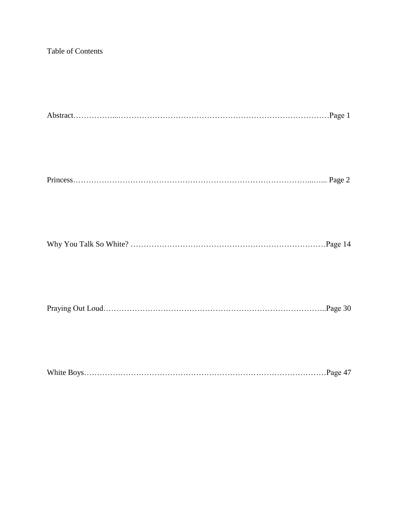## Table of Contents

|--|--|--|

# Princess………………………………………………………………………………...…... Page 2

|--|--|

|--|--|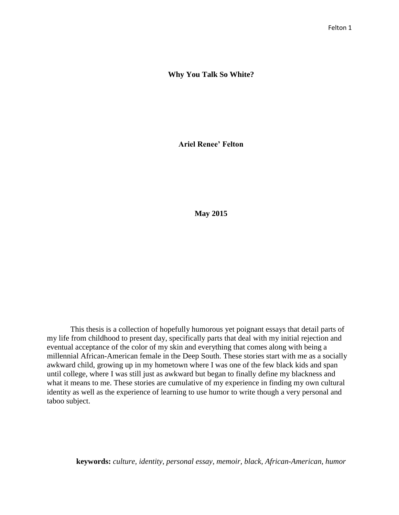#### **Why You Talk So White?**

**Ariel Renee' Felton**

**May 2015**

This thesis is a collection of hopefully humorous yet poignant essays that detail parts of my life from childhood to present day, specifically parts that deal with my initial rejection and eventual acceptance of the color of my skin and everything that comes along with being a millennial African-American female in the Deep South. These stories start with me as a socially awkward child, growing up in my hometown where I was one of the few black kids and span until college, where I was still just as awkward but began to finally define my blackness and what it means to me. These stories are cumulative of my experience in finding my own cultural identity as well as the experience of learning to use humor to write though a very personal and taboo subject.

**keywords:** *culture, identity, personal essay, memoir, black, African-American, humor*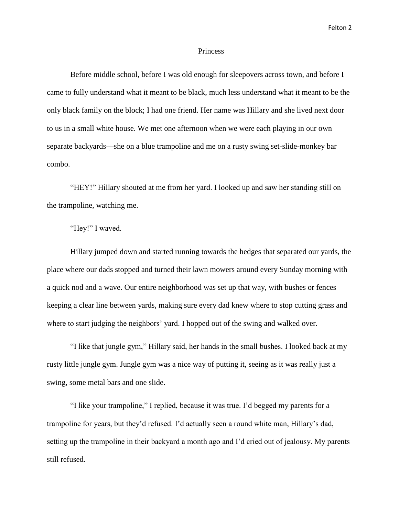#### **Princess**

Before middle school, before I was old enough for sleepovers across town, and before I came to fully understand what it meant to be black, much less understand what it meant to be the only black family on the block; I had one friend. Her name was Hillary and she lived next door to us in a small white house. We met one afternoon when we were each playing in our own separate backyards—she on a blue trampoline and me on a rusty swing set-slide-monkey bar combo.

"HEY!" Hillary shouted at me from her yard. I looked up and saw her standing still on the trampoline, watching me.

"Hey!" I waved.

Hillary jumped down and started running towards the hedges that separated our yards, the place where our dads stopped and turned their lawn mowers around every Sunday morning with a quick nod and a wave. Our entire neighborhood was set up that way, with bushes or fences keeping a clear line between yards, making sure every dad knew where to stop cutting grass and where to start judging the neighbors' yard. I hopped out of the swing and walked over.

"I like that jungle gym," Hillary said, her hands in the small bushes. I looked back at my rusty little jungle gym. Jungle gym was a nice way of putting it, seeing as it was really just a swing, some metal bars and one slide.

"I like your trampoline," I replied, because it was true. I'd begged my parents for a trampoline for years, but they'd refused. I'd actually seen a round white man, Hillary's dad, setting up the trampoline in their backyard a month ago and I'd cried out of jealousy. My parents still refused.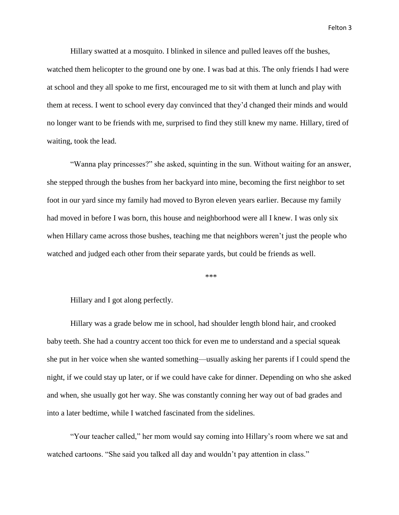Hillary swatted at a mosquito. I blinked in silence and pulled leaves off the bushes, watched them helicopter to the ground one by one. I was bad at this. The only friends I had were at school and they all spoke to me first, encouraged me to sit with them at lunch and play with them at recess. I went to school every day convinced that they'd changed their minds and would no longer want to be friends with me, surprised to find they still knew my name. Hillary, tired of waiting, took the lead.

"Wanna play princesses?" she asked, squinting in the sun. Without waiting for an answer, she stepped through the bushes from her backyard into mine, becoming the first neighbor to set foot in our yard since my family had moved to Byron eleven years earlier. Because my family had moved in before I was born, this house and neighborhood were all I knew. I was only six when Hillary came across those bushes, teaching me that neighbors weren't just the people who watched and judged each other from their separate yards, but could be friends as well.

\*\*\*

Hillary and I got along perfectly.

Hillary was a grade below me in school, had shoulder length blond hair, and crooked baby teeth. She had a country accent too thick for even me to understand and a special squeak she put in her voice when she wanted something—usually asking her parents if I could spend the night, if we could stay up later, or if we could have cake for dinner. Depending on who she asked and when, she usually got her way. She was constantly conning her way out of bad grades and into a later bedtime, while I watched fascinated from the sidelines.

"Your teacher called," her mom would say coming into Hillary's room where we sat and watched cartoons. "She said you talked all day and wouldn't pay attention in class."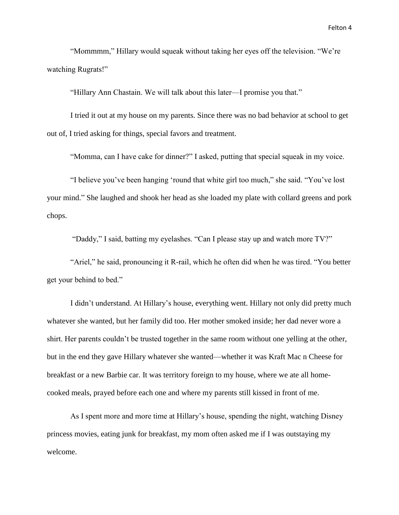"Mommmm," Hillary would squeak without taking her eyes off the television. "We're watching Rugrats!"

"Hillary Ann Chastain. We will talk about this later—I promise you that."

I tried it out at my house on my parents. Since there was no bad behavior at school to get out of, I tried asking for things, special favors and treatment.

"Momma, can I have cake for dinner?" I asked, putting that special squeak in my voice.

"I believe you've been hanging 'round that white girl too much," she said. "You've lost your mind." She laughed and shook her head as she loaded my plate with collard greens and pork chops.

"Daddy," I said, batting my eyelashes. "Can I please stay up and watch more TV?"

"Ariel," he said, pronouncing it R-rail, which he often did when he was tired. "You better get your behind to bed."

I didn't understand. At Hillary's house, everything went. Hillary not only did pretty much whatever she wanted, but her family did too. Her mother smoked inside; her dad never wore a shirt. Her parents couldn't be trusted together in the same room without one yelling at the other, but in the end they gave Hillary whatever she wanted—whether it was Kraft Mac n Cheese for breakfast or a new Barbie car. It was territory foreign to my house, where we ate all homecooked meals, prayed before each one and where my parents still kissed in front of me.

As I spent more and more time at Hillary's house, spending the night, watching Disney princess movies, eating junk for breakfast, my mom often asked me if I was outstaying my welcome.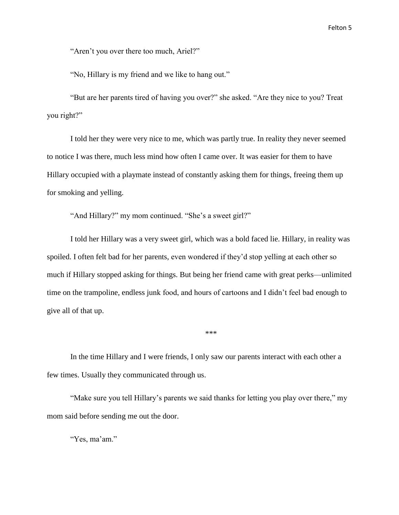"Aren't you over there too much, Ariel?"

"No, Hillary is my friend and we like to hang out."

"But are her parents tired of having you over?" she asked. "Are they nice to you? Treat you right?"

I told her they were very nice to me, which was partly true. In reality they never seemed to notice I was there, much less mind how often I came over. It was easier for them to have Hillary occupied with a playmate instead of constantly asking them for things, freeing them up for smoking and yelling.

"And Hillary?" my mom continued. "She's a sweet girl?"

I told her Hillary was a very sweet girl, which was a bold faced lie. Hillary, in reality was spoiled. I often felt bad for her parents, even wondered if they'd stop yelling at each other so much if Hillary stopped asking for things. But being her friend came with great perks—unlimited time on the trampoline, endless junk food, and hours of cartoons and I didn't feel bad enough to give all of that up.

\*\*\*

In the time Hillary and I were friends, I only saw our parents interact with each other a few times. Usually they communicated through us.

"Make sure you tell Hillary's parents we said thanks for letting you play over there," my mom said before sending me out the door.

"Yes, ma'am."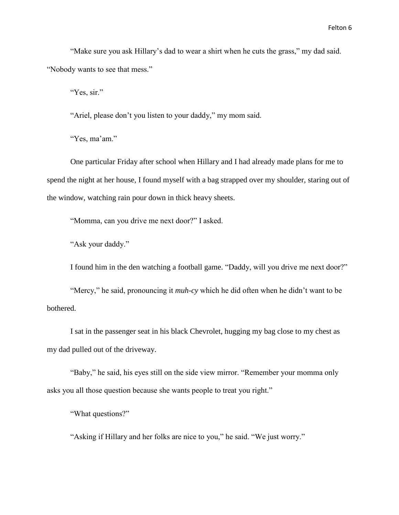"Make sure you ask Hillary's dad to wear a shirt when he cuts the grass," my dad said. "Nobody wants to see that mess."

"Yes, sir."

"Ariel, please don't you listen to your daddy," my mom said.

"Yes, ma'am."

One particular Friday after school when Hillary and I had already made plans for me to spend the night at her house, I found myself with a bag strapped over my shoulder, staring out of the window, watching rain pour down in thick heavy sheets.

"Momma, can you drive me next door?" I asked.

"Ask your daddy."

I found him in the den watching a football game. "Daddy, will you drive me next door?"

"Mercy," he said, pronouncing it *muh-cy* which he did often when he didn't want to be bothered.

I sat in the passenger seat in his black Chevrolet, hugging my bag close to my chest as my dad pulled out of the driveway.

"Baby," he said, his eyes still on the side view mirror. "Remember your momma only asks you all those question because she wants people to treat you right."

"What questions?"

"Asking if Hillary and her folks are nice to you," he said. "We just worry."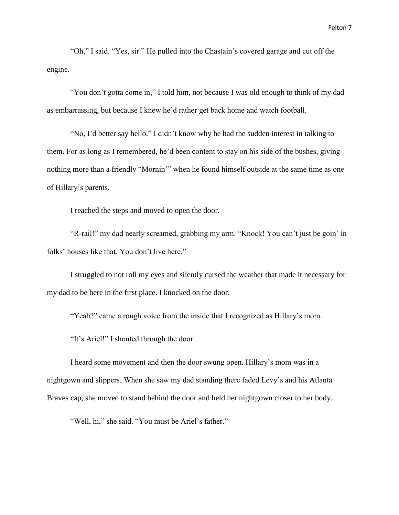"Oh," I said. "Yes, sir." He pulled into the Chastain's covered garage and cut off the engine.

"You don't gotta come in," I told him, not because I was old enough to think of my dad as embarrassing, but because I knew he'd rather get back home and watch football.

"No, I'd better say hello." I didn't know why he had the sudden interest in talking to them. For as long as I remembered, he'd been content to stay on his side of the bushes, giving nothing more than a friendly "Mornin'" when he found himself outside at the same time as one of Hillary's parents.

I reached the steps and moved to open the door.

"R-rail!" my dad nearly screamed, grabbing my arm. "Knock! You can't just be goin' in folks' houses like that. You don't live here."

I struggled to not roll my eyes and silently cursed the weather that made it necessary for my dad to be here in the first place. I knocked on the door.

"Yeah?" came a rough voice from the inside that I recognized as Hillary's mom.

"It's Ariel!" I shouted through the door.

I heard some movement and then the door swung open. Hillary's mom was in a nightgown and slippers. When she saw my dad standing there faded Levy's and his Atlanta Braves cap, she moved to stand behind the door and held her nightgown closer to her body.

"Well, hi," she said. "You must be Ariel's father."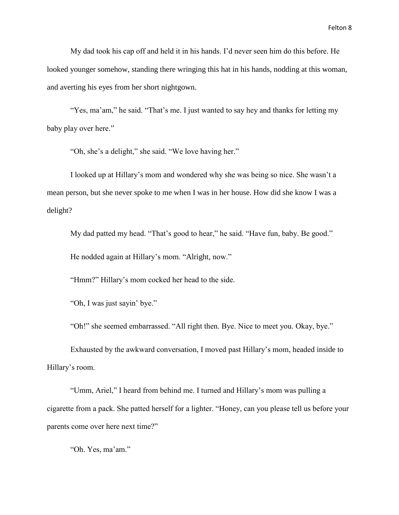My dad took his cap off and held it in his hands. I'd never seen him do this before. He looked younger somehow, standing there wringing this hat in his hands, nodding at this woman, and averting his eyes from her short nightgown.

"Yes, ma'am," he said. "That's me. I just wanted to say hey and thanks for letting my baby play over here."

"Oh, she's a delight," she said. "We love having her."

I looked up at Hillary's mom and wondered why she was being so nice. She wasn't a mean person, but she never spoke to me when I was in her house. How did she know I was a delight?

My dad patted my head. "That's good to hear," he said. "Have fun, baby. Be good."

He nodded again at Hillary's mom. "Alright, now."

"Hmm?" Hillary's mom cocked her head to the side.

"Oh, I was just sayin' bye."

"Oh!" she seemed embarrassed. "All right then. Bye. Nice to meet you. Okay, bye."

Exhausted by the awkward conversation, I moved past Hillary's mom, headed inside to Hillary's room.

"Umm, Ariel," I heard from behind me. I turned and Hillary's mom was pulling a cigarette from a pack. She patted herself for a lighter. "Honey, can you please tell us before your parents come over here next time?"

"Oh. Yes, ma'am."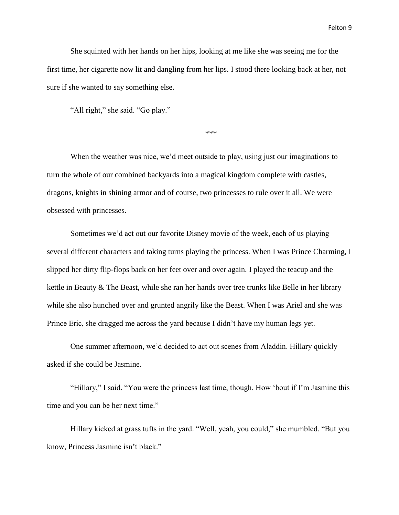She squinted with her hands on her hips, looking at me like she was seeing me for the first time, her cigarette now lit and dangling from her lips. I stood there looking back at her, not sure if she wanted to say something else.

"All right," she said. "Go play."

\*\*\*

When the weather was nice, we'd meet outside to play, using just our imaginations to turn the whole of our combined backyards into a magical kingdom complete with castles, dragons, knights in shining armor and of course, two princesses to rule over it all. We were obsessed with princesses.

Sometimes we'd act out our favorite Disney movie of the week, each of us playing several different characters and taking turns playing the princess. When I was Prince Charming, I slipped her dirty flip-flops back on her feet over and over again. I played the teacup and the kettle in Beauty & The Beast, while she ran her hands over tree trunks like Belle in her library while she also hunched over and grunted angrily like the Beast. When I was Ariel and she was Prince Eric, she dragged me across the yard because I didn't have my human legs yet.

One summer afternoon, we'd decided to act out scenes from Aladdin. Hillary quickly asked if she could be Jasmine.

"Hillary," I said. "You were the princess last time, though. How 'bout if I'm Jasmine this time and you can be her next time."

Hillary kicked at grass tufts in the yard. "Well, yeah, you could," she mumbled. "But you know, Princess Jasmine isn't black."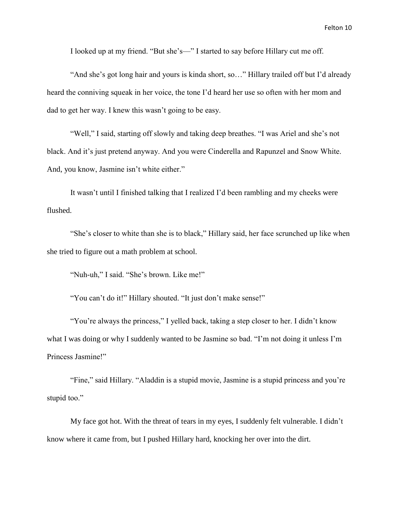I looked up at my friend. "But she's—" I started to say before Hillary cut me off.

"And she's got long hair and yours is kinda short, so…" Hillary trailed off but I'd already heard the conniving squeak in her voice, the tone I'd heard her use so often with her mom and dad to get her way. I knew this wasn't going to be easy.

"Well," I said, starting off slowly and taking deep breathes. "I was Ariel and she's not black. And it's just pretend anyway. And you were Cinderella and Rapunzel and Snow White. And, you know, Jasmine isn't white either."

It wasn't until I finished talking that I realized I'd been rambling and my cheeks were flushed.

"She's closer to white than she is to black," Hillary said, her face scrunched up like when she tried to figure out a math problem at school.

"Nuh-uh," I said. "She's brown. Like me!"

"You can't do it!" Hillary shouted. "It just don't make sense!"

"You're always the princess," I yelled back, taking a step closer to her. I didn't know what I was doing or why I suddenly wanted to be Jasmine so bad. "I'm not doing it unless I'm Princess Jasmine!"

"Fine," said Hillary. "Aladdin is a stupid movie, Jasmine is a stupid princess and you're stupid too."

My face got hot. With the threat of tears in my eyes, I suddenly felt vulnerable. I didn't know where it came from, but I pushed Hillary hard, knocking her over into the dirt.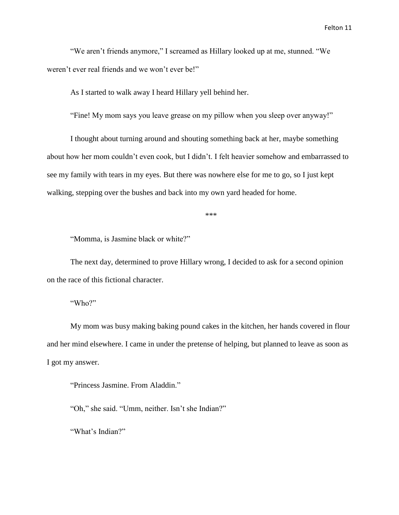"We aren't friends anymore," I screamed as Hillary looked up at me, stunned. "We weren't ever real friends and we won't ever be!"

As I started to walk away I heard Hillary yell behind her.

"Fine! My mom says you leave grease on my pillow when you sleep over anyway!"

I thought about turning around and shouting something back at her, maybe something about how her mom couldn't even cook, but I didn't. I felt heavier somehow and embarrassed to see my family with tears in my eyes. But there was nowhere else for me to go, so I just kept walking, stepping over the bushes and back into my own yard headed for home.

\*\*\*

"Momma, is Jasmine black or white?"

The next day, determined to prove Hillary wrong, I decided to ask for a second opinion on the race of this fictional character.

"Who?"

My mom was busy making baking pound cakes in the kitchen, her hands covered in flour and her mind elsewhere. I came in under the pretense of helping, but planned to leave as soon as I got my answer.

"Princess Jasmine. From Aladdin."

"Oh," she said. "Umm, neither. Isn't she Indian?"

"What's Indian?"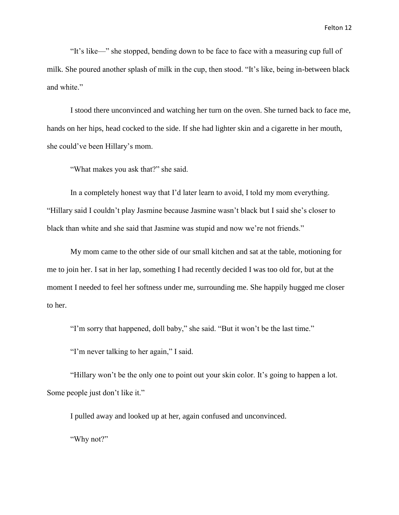"It's like—" she stopped, bending down to be face to face with a measuring cup full of milk. She poured another splash of milk in the cup, then stood. "It's like, being in-between black and white."

I stood there unconvinced and watching her turn on the oven. She turned back to face me, hands on her hips, head cocked to the side. If she had lighter skin and a cigarette in her mouth, she could've been Hillary's mom.

"What makes you ask that?" she said.

In a completely honest way that I'd later learn to avoid, I told my mom everything. "Hillary said I couldn't play Jasmine because Jasmine wasn't black but I said she's closer to black than white and she said that Jasmine was stupid and now we're not friends."

My mom came to the other side of our small kitchen and sat at the table, motioning for me to join her. I sat in her lap, something I had recently decided I was too old for, but at the moment I needed to feel her softness under me, surrounding me. She happily hugged me closer to her.

"I'm sorry that happened, doll baby," she said. "But it won't be the last time."

"I'm never talking to her again," I said.

"Hillary won't be the only one to point out your skin color. It's going to happen a lot. Some people just don't like it."

I pulled away and looked up at her, again confused and unconvinced.

"Why not?"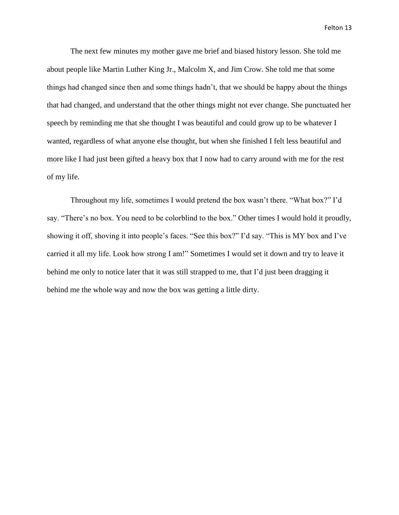The next few minutes my mother gave me brief and biased history lesson. She told me about people like Martin Luther King Jr., Malcolm X, and Jim Crow. She told me that some things had changed since then and some things hadn't, that we should be happy about the things that had changed, and understand that the other things might not ever change. She punctuated her speech by reminding me that she thought I was beautiful and could grow up to be whatever I wanted, regardless of what anyone else thought, but when she finished I felt less beautiful and more like I had just been gifted a heavy box that I now had to carry around with me for the rest of my life.

Throughout my life, sometimes I would pretend the box wasn't there. "What box?" I'd say. "There's no box. You need to be colorblind to the box." Other times I would hold it proudly, showing it off, shoving it into people's faces. "See this box?" I'd say. "This is MY box and I've carried it all my life. Look how strong I am!" Sometimes I would set it down and try to leave it behind me only to notice later that it was still strapped to me, that I'd just been dragging it behind me the whole way and now the box was getting a little dirty.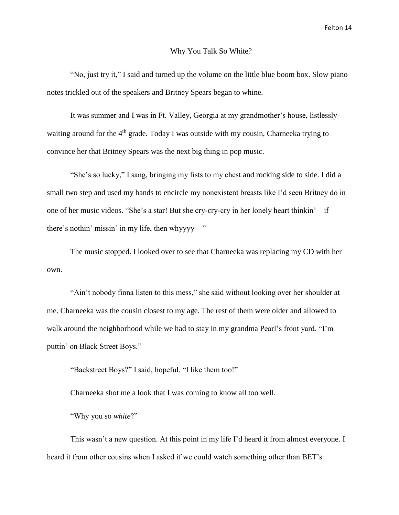#### Why You Talk So White?

"No, just try it," I said and turned up the volume on the little blue boom box. Slow piano notes trickled out of the speakers and Britney Spears began to whine.

It was summer and I was in Ft. Valley, Georgia at my grandmother's house, listlessly waiting around for the  $4<sup>th</sup>$  grade. Today I was outside with my cousin, Charneeka trying to convince her that Britney Spears was the next big thing in pop music.

"She's so lucky," I sang, bringing my fists to my chest and rocking side to side. I did a small two step and used my hands to encircle my nonexistent breasts like I'd seen Britney do in one of her music videos. "She's a star! But she cry-cry-cry in her lonely heart thinkin'—if there's nothin' missin' in my life, then whyyyy—"

The music stopped. I looked over to see that Charneeka was replacing my CD with her own.

"Ain't nobody finna listen to this mess," she said without looking over her shoulder at me. Charneeka was the cousin closest to my age. The rest of them were older and allowed to walk around the neighborhood while we had to stay in my grandma Pearl's front yard. "I'm puttin' on Black Street Boys."

"Backstreet Boys?" I said, hopeful. "I like them too!"

Charneeka shot me a look that I was coming to know all too well.

"Why you so *white*?"

This wasn't a new question. At this point in my life I'd heard it from almost everyone. I heard it from other cousins when I asked if we could watch something other than BET's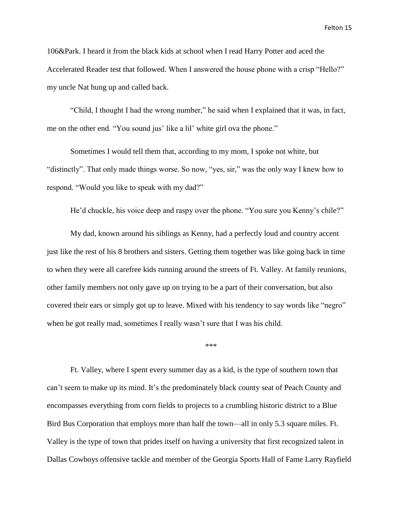106&Park. I heard it from the black kids at school when I read Harry Potter and aced the Accelerated Reader test that followed. When I answered the house phone with a crisp "Hello?" my uncle Nat hung up and called back.

"Child, I thought I had the wrong number," he said when I explained that it was, in fact, me on the other end. "You sound jus' like a lil' white girl ova the phone."

Sometimes I would tell them that, according to my mom, I spoke not white, but "distinctly". That only made things worse. So now, "yes, sir," was the only way I knew how to respond. "Would you like to speak with my dad?"

He'd chuckle, his voice deep and raspy over the phone. "You sure you Kenny's chile?"

My dad, known around his siblings as Kenny, had a perfectly loud and country accent just like the rest of his 8 brothers and sisters. Getting them together was like going back in time to when they were all carefree kids running around the streets of Ft. Valley. At family reunions, other family members not only gave up on trying to be a part of their conversation, but also covered their ears or simply got up to leave. Mixed with his tendency to say words like "negro" when he got really mad, sometimes I really wasn't sure that I was his child.

\*\*\*

Ft. Valley, where I spent every summer day as a kid, is the type of southern town that can't seem to make up its mind. It's the predominately black county seat of Peach County and encompasses everything from corn fields to projects to a crumbling historic district to a Blue Bird Bus Corporation that employs more than half the town—all in only 5.3 square miles. Ft. Valley is the type of town that prides itself on having a university that first recognized talent in Dallas Cowboys offensive tackle and member of the Georgia Sports Hall of Fame Larry Rayfield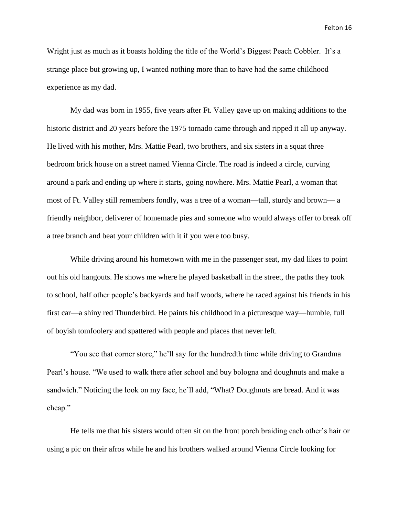Wright just as much as it boasts holding the title of the World's Biggest Peach Cobbler. It's a strange place but growing up, I wanted nothing more than to have had the same childhood experience as my dad.

My dad was born in 1955, five years after Ft. Valley gave up on making additions to the historic district and 20 years before the 1975 tornado came through and ripped it all up anyway. He lived with his mother, Mrs. Mattie Pearl, two brothers, and six sisters in a squat three bedroom brick house on a street named Vienna Circle. The road is indeed a circle, curving around a park and ending up where it starts, going nowhere. Mrs. Mattie Pearl, a woman that most of Ft. Valley still remembers fondly, was a tree of a woman—tall, sturdy and brown— a friendly neighbor, deliverer of homemade pies and someone who would always offer to break off a tree branch and beat your children with it if you were too busy.

While driving around his hometown with me in the passenger seat, my dad likes to point out his old hangouts. He shows me where he played basketball in the street, the paths they took to school, half other people's backyards and half woods, where he raced against his friends in his first car—a shiny red Thunderbird. He paints his childhood in a picturesque way—humble, full of boyish tomfoolery and spattered with people and places that never left.

"You see that corner store," he'll say for the hundredth time while driving to Grandma Pearl's house. "We used to walk there after school and buy bologna and doughnuts and make a sandwich." Noticing the look on my face, he'll add, "What? Doughnuts are bread. And it was cheap."

He tells me that his sisters would often sit on the front porch braiding each other's hair or using a pic on their afros while he and his brothers walked around Vienna Circle looking for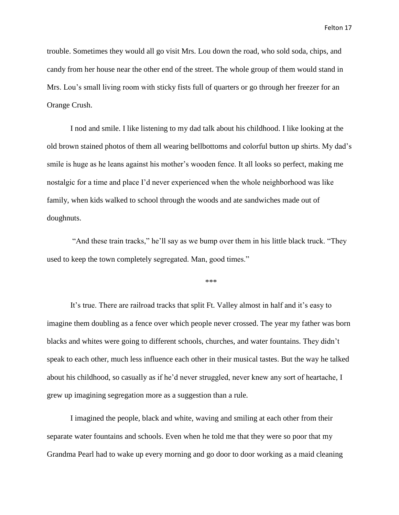trouble. Sometimes they would all go visit Mrs. Lou down the road, who sold soda, chips, and candy from her house near the other end of the street. The whole group of them would stand in Mrs. Lou's small living room with sticky fists full of quarters or go through her freezer for an Orange Crush.

I nod and smile. I like listening to my dad talk about his childhood. I like looking at the old brown stained photos of them all wearing bellbottoms and colorful button up shirts. My dad's smile is huge as he leans against his mother's wooden fence. It all looks so perfect, making me nostalgic for a time and place I'd never experienced when the whole neighborhood was like family, when kids walked to school through the woods and ate sandwiches made out of doughnuts.

"And these train tracks," he'll say as we bump over them in his little black truck. "They used to keep the town completely segregated. Man, good times."

\*\*\*

It's true. There are railroad tracks that split Ft. Valley almost in half and it's easy to imagine them doubling as a fence over which people never crossed. The year my father was born blacks and whites were going to different schools, churches, and water fountains. They didn't speak to each other, much less influence each other in their musical tastes. But the way he talked about his childhood, so casually as if he'd never struggled, never knew any sort of heartache, I grew up imagining segregation more as a suggestion than a rule.

I imagined the people, black and white, waving and smiling at each other from their separate water fountains and schools. Even when he told me that they were so poor that my Grandma Pearl had to wake up every morning and go door to door working as a maid cleaning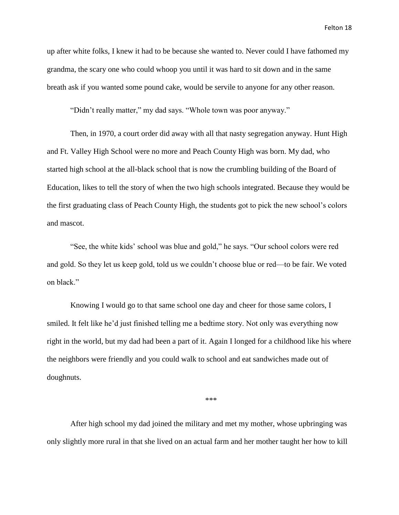up after white folks, I knew it had to be because she wanted to. Never could I have fathomed my grandma, the scary one who could whoop you until it was hard to sit down and in the same breath ask if you wanted some pound cake, would be servile to anyone for any other reason.

"Didn't really matter," my dad says. "Whole town was poor anyway."

Then, in 1970, a court order did away with all that nasty segregation anyway. Hunt High and Ft. Valley High School were no more and Peach County High was born. My dad, who started high school at the all-black school that is now the crumbling building of the Board of Education, likes to tell the story of when the two high schools integrated. Because they would be the first graduating class of Peach County High, the students got to pick the new school's colors and mascot.

"See, the white kids' school was blue and gold," he says. "Our school colors were red and gold. So they let us keep gold, told us we couldn't choose blue or red—to be fair. We voted on black."

Knowing I would go to that same school one day and cheer for those same colors, I smiled. It felt like he'd just finished telling me a bedtime story. Not only was everything now right in the world, but my dad had been a part of it. Again I longed for a childhood like his where the neighbors were friendly and you could walk to school and eat sandwiches made out of doughnuts.

\*\*\*

After high school my dad joined the military and met my mother, whose upbringing was only slightly more rural in that she lived on an actual farm and her mother taught her how to kill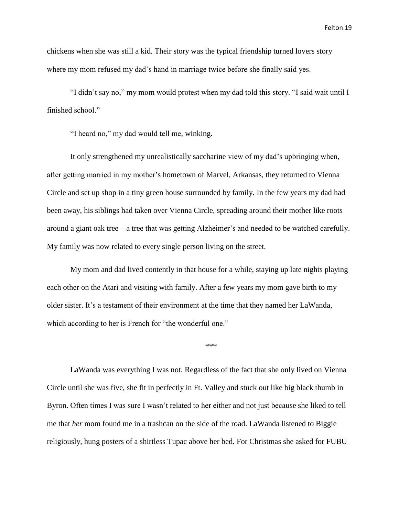chickens when she was still a kid. Their story was the typical friendship turned lovers story where my mom refused my dad's hand in marriage twice before she finally said yes.

"I didn't say no," my mom would protest when my dad told this story. "I said wait until I finished school."

"I heard no," my dad would tell me, winking.

It only strengthened my unrealistically saccharine view of my dad's upbringing when, after getting married in my mother's hometown of Marvel, Arkansas, they returned to Vienna Circle and set up shop in a tiny green house surrounded by family. In the few years my dad had been away, his siblings had taken over Vienna Circle, spreading around their mother like roots around a giant oak tree—a tree that was getting Alzheimer's and needed to be watched carefully. My family was now related to every single person living on the street.

My mom and dad lived contently in that house for a while, staying up late nights playing each other on the Atari and visiting with family. After a few years my mom gave birth to my older sister. It's a testament of their environment at the time that they named her LaWanda, which according to her is French for "the wonderful one."

\*\*\*

LaWanda was everything I was not. Regardless of the fact that she only lived on Vienna Circle until she was five, she fit in perfectly in Ft. Valley and stuck out like big black thumb in Byron. Often times I was sure I wasn't related to her either and not just because she liked to tell me that *her* mom found me in a trashcan on the side of the road. LaWanda listened to Biggie religiously, hung posters of a shirtless Tupac above her bed. For Christmas she asked for FUBU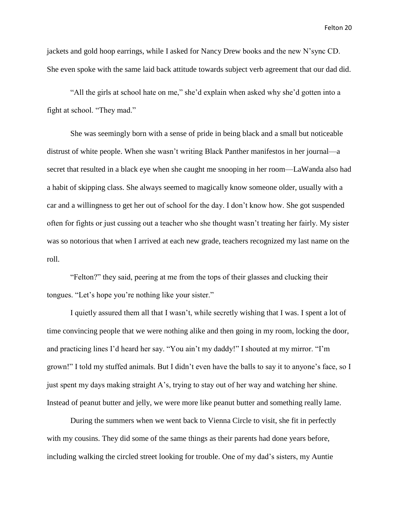jackets and gold hoop earrings, while I asked for Nancy Drew books and the new N'sync CD. She even spoke with the same laid back attitude towards subject verb agreement that our dad did.

"All the girls at school hate on me," she'd explain when asked why she'd gotten into a fight at school. "They mad."

She was seemingly born with a sense of pride in being black and a small but noticeable distrust of white people. When she wasn't writing Black Panther manifestos in her journal—a secret that resulted in a black eye when she caught me snooping in her room—LaWanda also had a habit of skipping class. She always seemed to magically know someone older, usually with a car and a willingness to get her out of school for the day. I don't know how. She got suspended often for fights or just cussing out a teacher who she thought wasn't treating her fairly. My sister was so notorious that when I arrived at each new grade, teachers recognized my last name on the roll.

"Felton?" they said, peering at me from the tops of their glasses and clucking their tongues. "Let's hope you're nothing like your sister."

I quietly assured them all that I wasn't, while secretly wishing that I was. I spent a lot of time convincing people that we were nothing alike and then going in my room, locking the door, and practicing lines I'd heard her say. "You ain't my daddy!" I shouted at my mirror. "I'm grown!" I told my stuffed animals. But I didn't even have the balls to say it to anyone's face, so I just spent my days making straight A's, trying to stay out of her way and watching her shine. Instead of peanut butter and jelly, we were more like peanut butter and something really lame.

During the summers when we went back to Vienna Circle to visit, she fit in perfectly with my cousins. They did some of the same things as their parents had done years before, including walking the circled street looking for trouble. One of my dad's sisters, my Auntie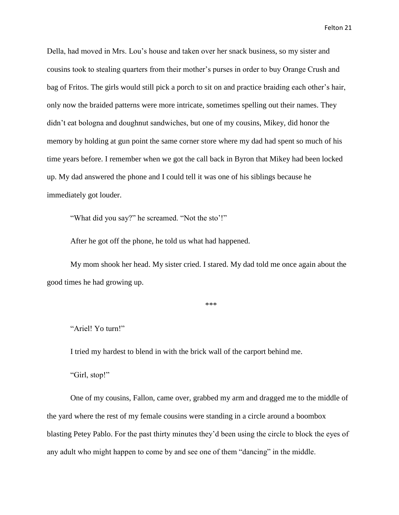Della, had moved in Mrs. Lou's house and taken over her snack business, so my sister and cousins took to stealing quarters from their mother's purses in order to buy Orange Crush and bag of Fritos. The girls would still pick a porch to sit on and practice braiding each other's hair, only now the braided patterns were more intricate, sometimes spelling out their names. They didn't eat bologna and doughnut sandwiches, but one of my cousins, Mikey, did honor the memory by holding at gun point the same corner store where my dad had spent so much of his time years before. I remember when we got the call back in Byron that Mikey had been locked up. My dad answered the phone and I could tell it was one of his siblings because he immediately got louder.

"What did you say?" he screamed. "Not the sto'!"

After he got off the phone, he told us what had happened.

My mom shook her head. My sister cried. I stared. My dad told me once again about the good times he had growing up.

\*\*\*

"Ariel! Yo turn!"

I tried my hardest to blend in with the brick wall of the carport behind me.

"Girl, stop!"

One of my cousins, Fallon, came over, grabbed my arm and dragged me to the middle of the yard where the rest of my female cousins were standing in a circle around a boombox blasting Petey Pablo. For the past thirty minutes they'd been using the circle to block the eyes of any adult who might happen to come by and see one of them "dancing" in the middle.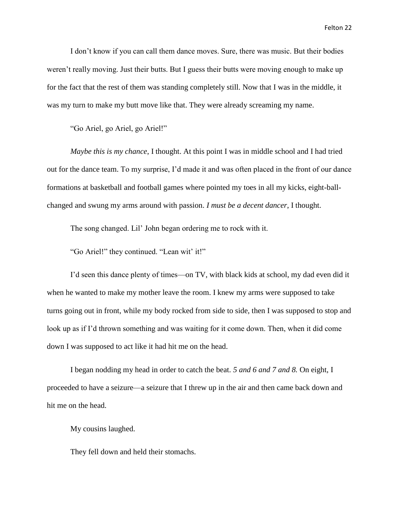I don't know if you can call them dance moves. Sure, there was music. But their bodies weren't really moving. Just their butts. But I guess their butts were moving enough to make up for the fact that the rest of them was standing completely still. Now that I was in the middle, it was my turn to make my butt move like that. They were already screaming my name.

"Go Ariel, go Ariel, go Ariel!"

*Maybe this is my chance*, I thought. At this point I was in middle school and I had tried out for the dance team. To my surprise, I'd made it and was often placed in the front of our dance formations at basketball and football games where pointed my toes in all my kicks, eight-ballchanged and swung my arms around with passion. *I must be a decent dancer*, I thought.

The song changed. Lil' John began ordering me to rock with it.

"Go Ariel!" they continued. "Lean wit' it!"

I'd seen this dance plenty of times—on TV, with black kids at school, my dad even did it when he wanted to make my mother leave the room. I knew my arms were supposed to take turns going out in front, while my body rocked from side to side, then I was supposed to stop and look up as if I'd thrown something and was waiting for it come down. Then, when it did come down I was supposed to act like it had hit me on the head.

I began nodding my head in order to catch the beat. *5 and 6 and 7 and 8.* On eight, I proceeded to have a seizure—a seizure that I threw up in the air and then came back down and hit me on the head.

My cousins laughed.

They fell down and held their stomachs.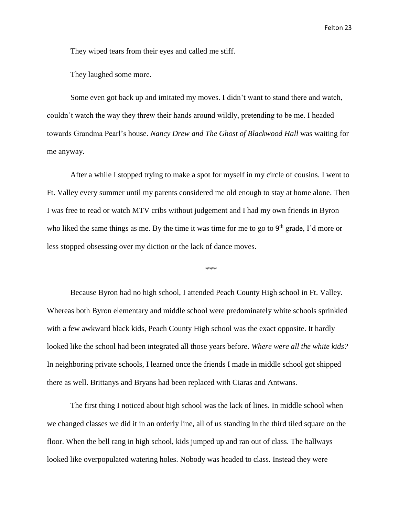They wiped tears from their eyes and called me stiff.

They laughed some more.

Some even got back up and imitated my moves. I didn't want to stand there and watch, couldn't watch the way they threw their hands around wildly, pretending to be me. I headed towards Grandma Pearl's house. *Nancy Drew and The Ghost of Blackwood Hall* was waiting for me anyway.

After a while I stopped trying to make a spot for myself in my circle of cousins. I went to Ft. Valley every summer until my parents considered me old enough to stay at home alone. Then I was free to read or watch MTV cribs without judgement and I had my own friends in Byron who liked the same things as me. By the time it was time for me to go to  $9<sup>th</sup>$  grade, I'd more or less stopped obsessing over my diction or the lack of dance moves.

\*\*\*

Because Byron had no high school, I attended Peach County High school in Ft. Valley. Whereas both Byron elementary and middle school were predominately white schools sprinkled with a few awkward black kids, Peach County High school was the exact opposite. It hardly looked like the school had been integrated all those years before. *Where were all the white kids?* In neighboring private schools, I learned once the friends I made in middle school got shipped there as well. Brittanys and Bryans had been replaced with Ciaras and Antwans.

The first thing I noticed about high school was the lack of lines. In middle school when we changed classes we did it in an orderly line, all of us standing in the third tiled square on the floor. When the bell rang in high school, kids jumped up and ran out of class. The hallways looked like overpopulated watering holes. Nobody was headed to class. Instead they were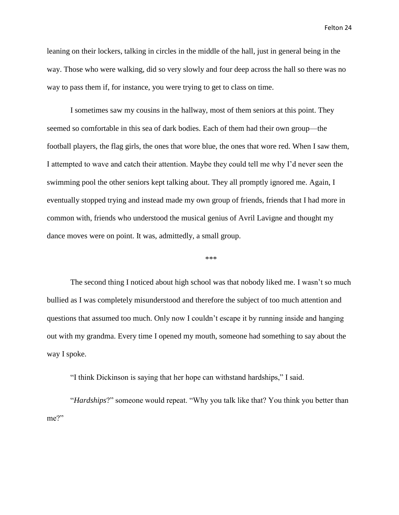leaning on their lockers, talking in circles in the middle of the hall, just in general being in the way. Those who were walking, did so very slowly and four deep across the hall so there was no way to pass them if, for instance, you were trying to get to class on time.

I sometimes saw my cousins in the hallway, most of them seniors at this point. They seemed so comfortable in this sea of dark bodies. Each of them had their own group—the football players, the flag girls, the ones that wore blue, the ones that wore red. When I saw them, I attempted to wave and catch their attention. Maybe they could tell me why I'd never seen the swimming pool the other seniors kept talking about. They all promptly ignored me. Again, I eventually stopped trying and instead made my own group of friends, friends that I had more in common with, friends who understood the musical genius of Avril Lavigne and thought my dance moves were on point. It was, admittedly, a small group.

\*\*\*

The second thing I noticed about high school was that nobody liked me. I wasn't so much bullied as I was completely misunderstood and therefore the subject of too much attention and questions that assumed too much. Only now I couldn't escape it by running inside and hanging out with my grandma. Every time I opened my mouth, someone had something to say about the way I spoke.

"I think Dickinson is saying that her hope can withstand hardships," I said.

"*Hardships*?" someone would repeat. "Why you talk like that? You think you better than me?"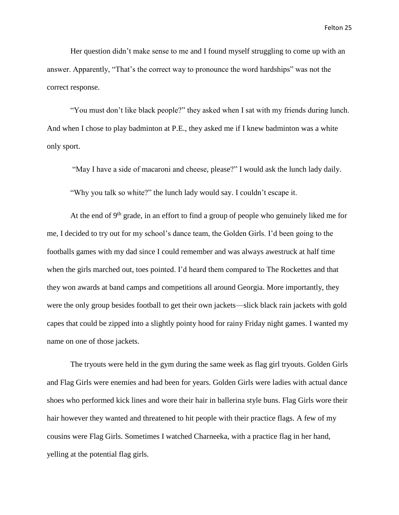Her question didn't make sense to me and I found myself struggling to come up with an answer. Apparently, "That's the correct way to pronounce the word hardships" was not the correct response.

"You must don't like black people?" they asked when I sat with my friends during lunch. And when I chose to play badminton at P.E., they asked me if I knew badminton was a white only sport.

"May I have a side of macaroni and cheese, please?" I would ask the lunch lady daily.

"Why you talk so white?" the lunch lady would say. I couldn't escape it.

At the end of  $9<sup>th</sup>$  grade, in an effort to find a group of people who genuinely liked me for me, I decided to try out for my school's dance team, the Golden Girls. I'd been going to the footballs games with my dad since I could remember and was always awestruck at half time when the girls marched out, toes pointed. I'd heard them compared to The Rockettes and that they won awards at band camps and competitions all around Georgia. More importantly, they were the only group besides football to get their own jackets—slick black rain jackets with gold capes that could be zipped into a slightly pointy hood for rainy Friday night games. I wanted my name on one of those jackets.

The tryouts were held in the gym during the same week as flag girl tryouts. Golden Girls and Flag Girls were enemies and had been for years. Golden Girls were ladies with actual dance shoes who performed kick lines and wore their hair in ballerina style buns. Flag Girls wore their hair however they wanted and threatened to hit people with their practice flags. A few of my cousins were Flag Girls. Sometimes I watched Charneeka, with a practice flag in her hand, yelling at the potential flag girls.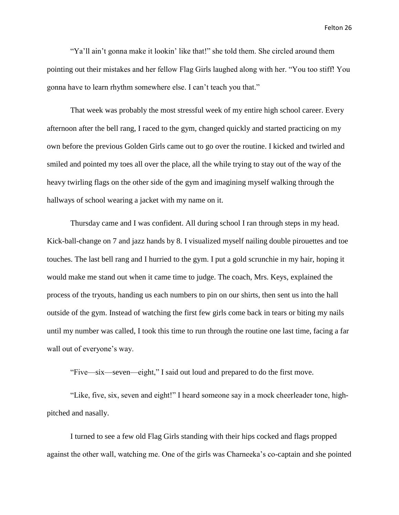"Ya'll ain't gonna make it lookin' like that!" she told them. She circled around them pointing out their mistakes and her fellow Flag Girls laughed along with her. "You too stiff! You gonna have to learn rhythm somewhere else. I can't teach you that."

That week was probably the most stressful week of my entire high school career. Every afternoon after the bell rang, I raced to the gym, changed quickly and started practicing on my own before the previous Golden Girls came out to go over the routine. I kicked and twirled and smiled and pointed my toes all over the place, all the while trying to stay out of the way of the heavy twirling flags on the other side of the gym and imagining myself walking through the hallways of school wearing a jacket with my name on it.

Thursday came and I was confident. All during school I ran through steps in my head. Kick-ball-change on 7 and jazz hands by 8. I visualized myself nailing double pirouettes and toe touches. The last bell rang and I hurried to the gym. I put a gold scrunchie in my hair, hoping it would make me stand out when it came time to judge. The coach, Mrs. Keys, explained the process of the tryouts, handing us each numbers to pin on our shirts, then sent us into the hall outside of the gym. Instead of watching the first few girls come back in tears or biting my nails until my number was called, I took this time to run through the routine one last time, facing a far wall out of everyone's way.

"Five—six—seven—eight," I said out loud and prepared to do the first move.

"Like, five, six, seven and eight!" I heard someone say in a mock cheerleader tone, highpitched and nasally.

I turned to see a few old Flag Girls standing with their hips cocked and flags propped against the other wall, watching me. One of the girls was Charneeka's co-captain and she pointed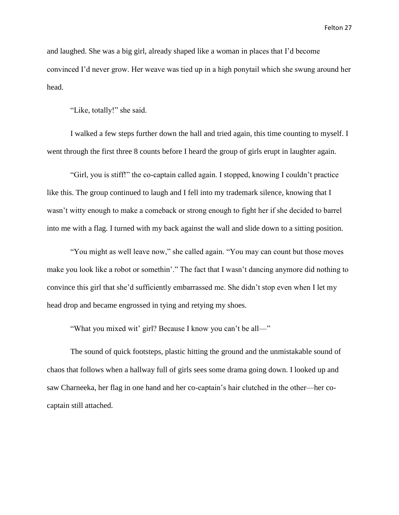and laughed. She was a big girl, already shaped like a woman in places that I'd become convinced I'd never grow. Her weave was tied up in a high ponytail which she swung around her head.

"Like, totally!" she said.

I walked a few steps further down the hall and tried again, this time counting to myself. I went through the first three 8 counts before I heard the group of girls erupt in laughter again.

"Girl, you is stiff!" the co-captain called again. I stopped, knowing I couldn't practice like this. The group continued to laugh and I fell into my trademark silence, knowing that I wasn't witty enough to make a comeback or strong enough to fight her if she decided to barrel into me with a flag. I turned with my back against the wall and slide down to a sitting position.

"You might as well leave now," she called again. "You may can count but those moves make you look like a robot or somethin'." The fact that I wasn't dancing anymore did nothing to convince this girl that she'd sufficiently embarrassed me. She didn't stop even when I let my head drop and became engrossed in tying and retying my shoes.

"What you mixed wit' girl? Because I know you can't be all—"

The sound of quick footsteps, plastic hitting the ground and the unmistakable sound of chaos that follows when a hallway full of girls sees some drama going down. I looked up and saw Charneeka, her flag in one hand and her co-captain's hair clutched in the other—her cocaptain still attached.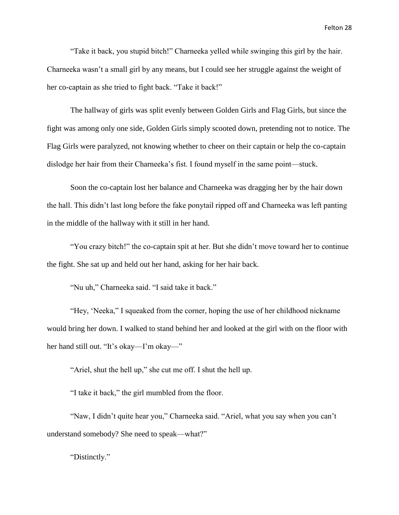"Take it back, you stupid bitch!" Charneeka yelled while swinging this girl by the hair. Charneeka wasn't a small girl by any means, but I could see her struggle against the weight of her co-captain as she tried to fight back. "Take it back!"

The hallway of girls was split evenly between Golden Girls and Flag Girls, but since the fight was among only one side, Golden Girls simply scooted down, pretending not to notice. The Flag Girls were paralyzed, not knowing whether to cheer on their captain or help the co-captain dislodge her hair from their Charneeka's fist. I found myself in the same point—stuck.

Soon the co-captain lost her balance and Charneeka was dragging her by the hair down the hall. This didn't last long before the fake ponytail ripped off and Charneeka was left panting in the middle of the hallway with it still in her hand.

"You crazy bitch!" the co-captain spit at her. But she didn't move toward her to continue the fight. She sat up and held out her hand, asking for her hair back.

"Nu uh," Charneeka said. "I said take it back."

"Hey, 'Neeka," I squeaked from the corner, hoping the use of her childhood nickname would bring her down. I walked to stand behind her and looked at the girl with on the floor with her hand still out. "It's okay—I'm okay—"

"Ariel, shut the hell up," she cut me off. I shut the hell up.

"I take it back," the girl mumbled from the floor.

"Naw, I didn't quite hear you," Charneeka said. "Ariel, what you say when you can't understand somebody? She need to speak—what?"

"Distinctly."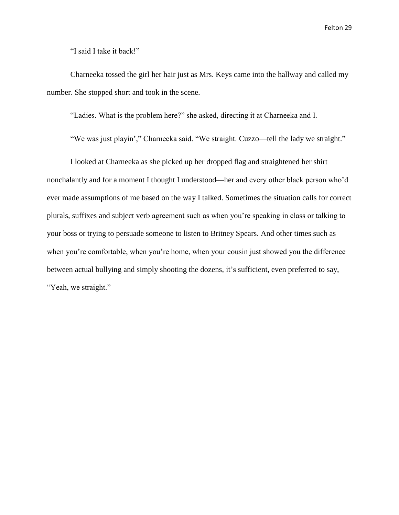"I said I take it back!"

Charneeka tossed the girl her hair just as Mrs. Keys came into the hallway and called my number. She stopped short and took in the scene.

"Ladies. What is the problem here?" she asked, directing it at Charneeka and I.

"We was just playin'," Charneeka said. "We straight. Cuzzo—tell the lady we straight."

I looked at Charneeka as she picked up her dropped flag and straightened her shirt nonchalantly and for a moment I thought I understood—her and every other black person who'd ever made assumptions of me based on the way I talked. Sometimes the situation calls for correct plurals, suffixes and subject verb agreement such as when you're speaking in class or talking to your boss or trying to persuade someone to listen to Britney Spears. And other times such as when you're comfortable, when you're home, when your cousin just showed you the difference between actual bullying and simply shooting the dozens, it's sufficient, even preferred to say, "Yeah, we straight."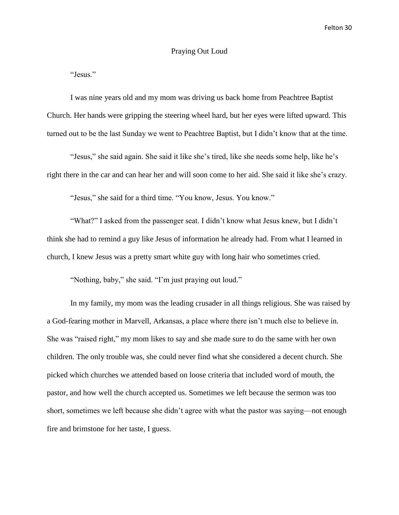#### Praying Out Loud

"Jesus."

I was nine years old and my mom was driving us back home from Peachtree Baptist Church. Her hands were gripping the steering wheel hard, but her eyes were lifted upward. This turned out to be the last Sunday we went to Peachtree Baptist, but I didn't know that at the time.

"Jesus," she said again. She said it like she's tired, like she needs some help, like he's right there in the car and can hear her and will soon come to her aid. She said it like she's crazy.

"Jesus," she said for a third time. "You know, Jesus. You know."

"What?" I asked from the passenger seat. I didn't know what Jesus knew, but I didn't think she had to remind a guy like Jesus of information he already had. From what I learned in church, I knew Jesus was a pretty smart white guy with long hair who sometimes cried.

"Nothing, baby," she said. "I'm just praying out loud."

In my family, my mom was the leading crusader in all things religious. She was raised by a God-fearing mother in Marvell, Arkansas, a place where there isn't much else to believe in. She was "raised right," my mom likes to say and she made sure to do the same with her own children. The only trouble was, she could never find what she considered a decent church. She picked which churches we attended based on loose criteria that included word of mouth, the pastor, and how well the church accepted us. Sometimes we left because the sermon was too short, sometimes we left because she didn't agree with what the pastor was saying—not enough fire and brimstone for her taste, I guess.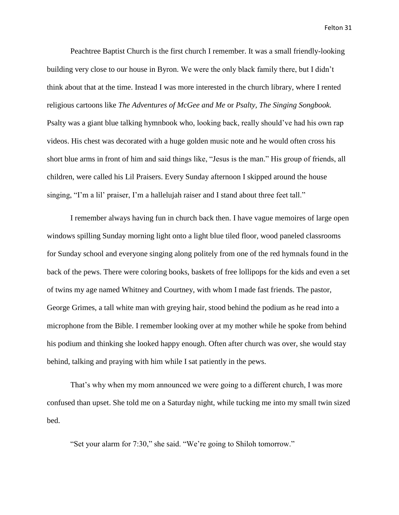Peachtree Baptist Church is the first church I remember. It was a small friendly-looking building very close to our house in Byron. We were the only black family there, but I didn't think about that at the time. Instead I was more interested in the church library, where I rented religious cartoons like *The Adventures of McGee and Me* or *Psalty, The Singing Songbook.* Psalty was a giant blue talking hymnbook who, looking back, really should've had his own rap videos. His chest was decorated with a huge golden music note and he would often cross his short blue arms in front of him and said things like, "Jesus is the man." His group of friends, all children, were called his Lil Praisers. Every Sunday afternoon I skipped around the house singing, "I'm a lil' praiser, I'm a hallelujah raiser and I stand about three feet tall."

I remember always having fun in church back then. I have vague memoires of large open windows spilling Sunday morning light onto a light blue tiled floor, wood paneled classrooms for Sunday school and everyone singing along politely from one of the red hymnals found in the back of the pews. There were coloring books, baskets of free lollipops for the kids and even a set of twins my age named Whitney and Courtney, with whom I made fast friends. The pastor, George Grimes, a tall white man with greying hair, stood behind the podium as he read into a microphone from the Bible. I remember looking over at my mother while he spoke from behind his podium and thinking she looked happy enough. Often after church was over, she would stay behind, talking and praying with him while I sat patiently in the pews.

That's why when my mom announced we were going to a different church, I was more confused than upset. She told me on a Saturday night, while tucking me into my small twin sized bed.

"Set your alarm for 7:30," she said. "We're going to Shiloh tomorrow."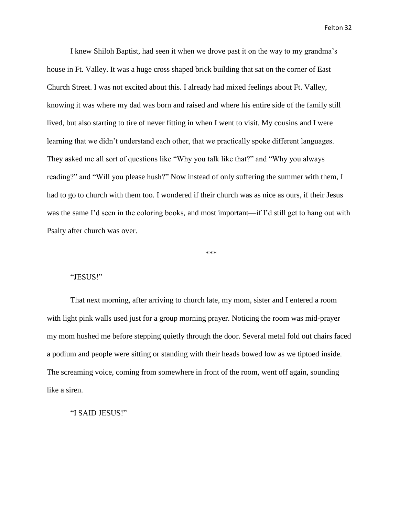I knew Shiloh Baptist, had seen it when we drove past it on the way to my grandma's house in Ft. Valley. It was a huge cross shaped brick building that sat on the corner of East Church Street. I was not excited about this. I already had mixed feelings about Ft. Valley, knowing it was where my dad was born and raised and where his entire side of the family still lived, but also starting to tire of never fitting in when I went to visit. My cousins and I were learning that we didn't understand each other, that we practically spoke different languages. They asked me all sort of questions like "Why you talk like that?" and "Why you always reading?" and "Will you please hush?" Now instead of only suffering the summer with them, I had to go to church with them too. I wondered if their church was as nice as ours, if their Jesus was the same I'd seen in the coloring books, and most important—if I'd still get to hang out with Psalty after church was over.

\*\*\*

#### "JESUS!"

That next morning, after arriving to church late, my mom, sister and I entered a room with light pink walls used just for a group morning prayer. Noticing the room was mid-prayer my mom hushed me before stepping quietly through the door. Several metal fold out chairs faced a podium and people were sitting or standing with their heads bowed low as we tiptoed inside. The screaming voice, coming from somewhere in front of the room, went off again, sounding like a siren.

"I SAID JESUS!"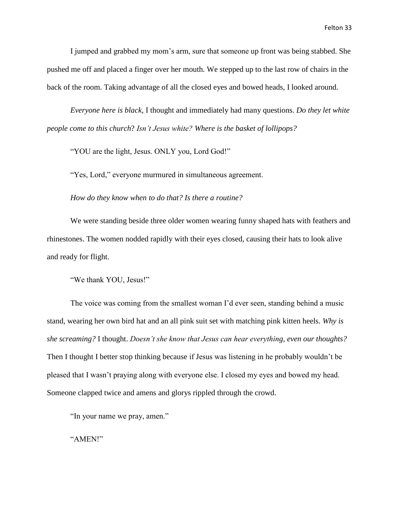I jumped and grabbed my mom's arm, sure that someone up front was being stabbed. She pushed me off and placed a finger over her mouth. We stepped up to the last row of chairs in the back of the room. Taking advantage of all the closed eyes and bowed heads, I looked around.

*Everyone here is black,* I thought and immediately had many questions. *Do they let white people come to this church*? *Isn't Jesus white? Where is the basket of lollipops?*

"YOU are the light, Jesus. ONLY you, Lord God!"

"Yes, Lord," everyone murmured in simultaneous agreement.

*How do they know when to do that? Is there a routine?*

We were standing beside three older women wearing funny shaped hats with feathers and rhinestones. The women nodded rapidly with their eyes closed, causing their hats to look alive and ready for flight.

"We thank YOU, Jesus!"

The voice was coming from the smallest woman I'd ever seen, standing behind a music stand, wearing her own bird hat and an all pink suit set with matching pink kitten heels. *Why is she screaming?* I thought. *Doesn't she know that Jesus can hear everything, even our thoughts?* Then I thought I better stop thinking because if Jesus was listening in he probably wouldn't be pleased that I wasn't praying along with everyone else. I closed my eyes and bowed my head. Someone clapped twice and amens and glorys rippled through the crowd.

"In your name we pray, amen."

"AMEN!"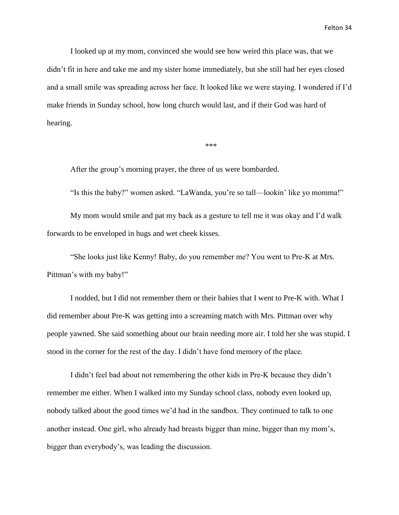I looked up at my mom, convinced she would see how weird this place was, that we didn't fit in here and take me and my sister home immediately, but she still had her eyes closed and a small smile was spreading across her face. It looked like we were staying. I wondered if I'd make friends in Sunday school, how long church would last, and if their God was hard of hearing.

\*\*\*

After the group's morning prayer, the three of us were bombarded.

"Is this the baby?" women asked. "LaWanda, you're so tall—lookin' like yo momma!"

My mom would smile and pat my back as a gesture to tell me it was okay and I'd walk forwards to be enveloped in hugs and wet cheek kisses.

"She looks just like Kenny! Baby, do you remember me? You went to Pre-K at Mrs. Pittman's with my baby!"

I nodded, but I did not remember them or their babies that I went to Pre-K with. What I did remember about Pre-K was getting into a screaming match with Mrs. Pittman over why people yawned. She said something about our brain needing more air. I told her she was stupid. I stood in the corner for the rest of the day. I didn't have fond memory of the place.

I didn't feel bad about not remembering the other kids in Pre-K because they didn't remember me either. When I walked into my Sunday school class, nobody even looked up, nobody talked about the good times we'd had in the sandbox. They continued to talk to one another instead. One girl, who already had breasts bigger than mine, bigger than my mom's, bigger than everybody's, was leading the discussion.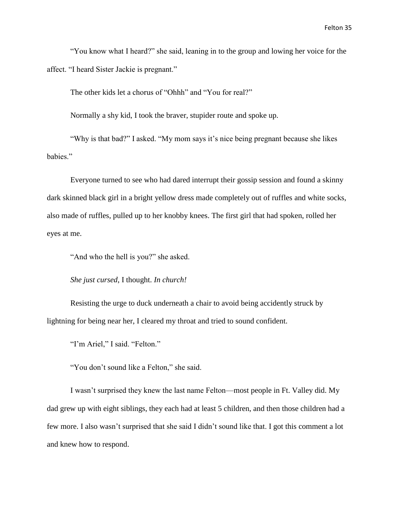"You know what I heard?" she said, leaning in to the group and lowing her voice for the affect. "I heard Sister Jackie is pregnant."

The other kids let a chorus of "Ohhh" and "You for real?"

Normally a shy kid, I took the braver, stupider route and spoke up.

"Why is that bad?" I asked. "My mom says it's nice being pregnant because she likes babies."

Everyone turned to see who had dared interrupt their gossip session and found a skinny dark skinned black girl in a bright yellow dress made completely out of ruffles and white socks, also made of ruffles, pulled up to her knobby knees. The first girl that had spoken, rolled her eyes at me.

"And who the hell is you?" she asked.

*She just cursed*, I thought. *In church!*

Resisting the urge to duck underneath a chair to avoid being accidently struck by lightning for being near her, I cleared my throat and tried to sound confident.

"I'm Ariel," I said. "Felton."

"You don't sound like a Felton," she said.

I wasn't surprised they knew the last name Felton—most people in Ft. Valley did. My dad grew up with eight siblings, they each had at least 5 children, and then those children had a few more. I also wasn't surprised that she said I didn't sound like that. I got this comment a lot and knew how to respond.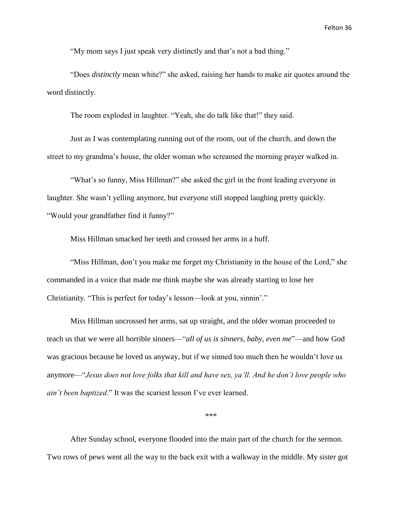"My mom says I just speak very distinctly and that's not a bad thing."

"Does *distinctly* mean white?" she asked, raising her hands to make air quotes around the word distinctly.

The room exploded in laughter. "Yeah, she do talk like that!" they said.

Just as I was contemplating running out of the room, out of the church, and down the street to my grandma's house, the older woman who screamed the morning prayer walked in.

"What's so funny, Miss Hillman?" she asked the girl in the front leading everyone in laughter. She wasn't yelling anymore, but everyone still stopped laughing pretty quickly. "Would your grandfather find it funny?"

Miss Hillman smacked her teeth and crossed her arms in a huff.

"Miss Hillman, don't you make me forget my Christianity in the house of the Lord," she commanded in a voice that made me think maybe she was already starting to lose her Christianity. "This is perfect for today's lesson—look at you, sinnin'."

Miss Hillman uncrossed her arms, sat up straight, and the older woman proceeded to teach us that we were all horrible sinners—"*all of us is sinners, baby, even me*"—and how God was gracious because he loved us anyway, but if we sinned too much then he wouldn't love us anymore—"*Jesus does not love folks that kill and have sex, ya'll. And he don't love people who ain't been baptized*." It was the scariest lesson I've ever learned.

\*\*\*

After Sunday school, everyone flooded into the main part of the church for the sermon. Two rows of pews went all the way to the back exit with a walkway in the middle. My sister got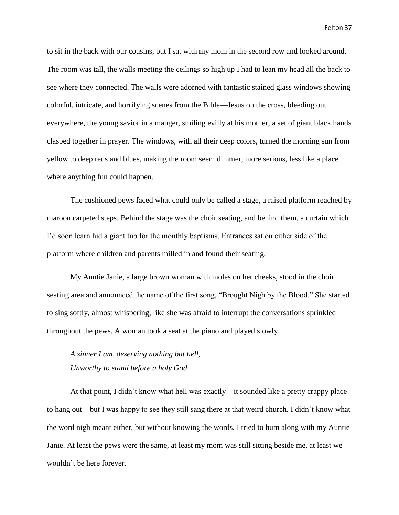to sit in the back with our cousins, but I sat with my mom in the second row and looked around. The room was tall, the walls meeting the ceilings so high up I had to lean my head all the back to see where they connected. The walls were adorned with fantastic stained glass windows showing colorful, intricate, and horrifying scenes from the Bible—Jesus on the cross, bleeding out everywhere, the young savior in a manger, smiling evilly at his mother, a set of giant black hands clasped together in prayer. The windows, with all their deep colors, turned the morning sun from yellow to deep reds and blues, making the room seem dimmer, more serious, less like a place where anything fun could happen.

The cushioned pews faced what could only be called a stage, a raised platform reached by maroon carpeted steps. Behind the stage was the choir seating, and behind them, a curtain which I'd soon learn hid a giant tub for the monthly baptisms. Entrances sat on either side of the platform where children and parents milled in and found their seating.

My Auntie Janie, a large brown woman with moles on her cheeks, stood in the choir seating area and announced the name of the first song, "Brought Nigh by the Blood." She started to sing softly, almost whispering, like she was afraid to interrupt the conversations sprinkled throughout the pews. A woman took a seat at the piano and played slowly.

*A sinner I am, deserving nothing but hell, Unworthy to stand before a holy God*

At that point, I didn't know what hell was exactly—it sounded like a pretty crappy place to hang out—but I was happy to see they still sang there at that weird church. I didn't know what the word nigh meant either, but without knowing the words, I tried to hum along with my Auntie Janie. At least the pews were the same, at least my mom was still sitting beside me, at least we wouldn't be here forever.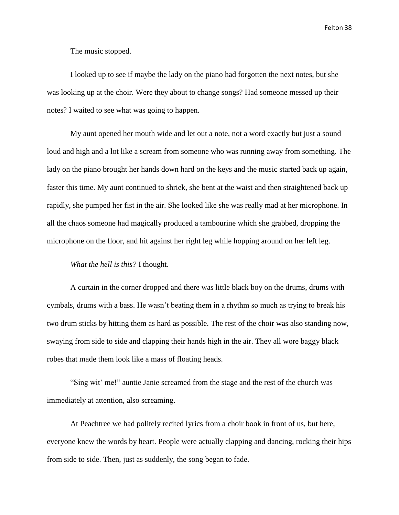The music stopped.

I looked up to see if maybe the lady on the piano had forgotten the next notes, but she was looking up at the choir. Were they about to change songs? Had someone messed up their notes? I waited to see what was going to happen.

My aunt opened her mouth wide and let out a note, not a word exactly but just a sound loud and high and a lot like a scream from someone who was running away from something. The lady on the piano brought her hands down hard on the keys and the music started back up again, faster this time. My aunt continued to shriek, she bent at the waist and then straightened back up rapidly, she pumped her fist in the air. She looked like she was really mad at her microphone. In all the chaos someone had magically produced a tambourine which she grabbed, dropping the microphone on the floor, and hit against her right leg while hopping around on her left leg.

## *What the hell is this?* I thought.

A curtain in the corner dropped and there was little black boy on the drums, drums with cymbals, drums with a bass. He wasn't beating them in a rhythm so much as trying to break his two drum sticks by hitting them as hard as possible. The rest of the choir was also standing now, swaying from side to side and clapping their hands high in the air. They all wore baggy black robes that made them look like a mass of floating heads.

"Sing wit' me!" auntie Janie screamed from the stage and the rest of the church was immediately at attention, also screaming.

At Peachtree we had politely recited lyrics from a choir book in front of us, but here, everyone knew the words by heart. People were actually clapping and dancing, rocking their hips from side to side. Then, just as suddenly, the song began to fade.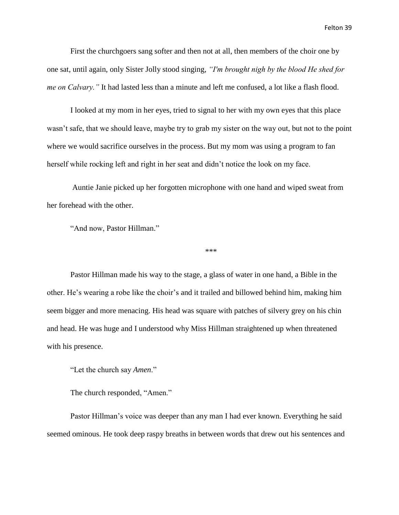First the churchgoers sang softer and then not at all, then members of the choir one by one sat, until again, only Sister Jolly stood singing, *"I'm brought nigh by the blood He shed for me on Calvary."* It had lasted less than a minute and left me confused, a lot like a flash flood.

I looked at my mom in her eyes, tried to signal to her with my own eyes that this place wasn't safe, that we should leave, maybe try to grab my sister on the way out, but not to the point where we would sacrifice ourselves in the process. But my mom was using a program to fan herself while rocking left and right in her seat and didn't notice the look on my face.

Auntie Janie picked up her forgotten microphone with one hand and wiped sweat from her forehead with the other.

"And now, Pastor Hillman."

\*\*\*

Pastor Hillman made his way to the stage, a glass of water in one hand, a Bible in the other. He's wearing a robe like the choir's and it trailed and billowed behind him, making him seem bigger and more menacing. His head was square with patches of silvery grey on his chin and head. He was huge and I understood why Miss Hillman straightened up when threatened with his presence.

"Let the church say *Amen*."

The church responded, "Amen."

Pastor Hillman's voice was deeper than any man I had ever known. Everything he said seemed ominous. He took deep raspy breaths in between words that drew out his sentences and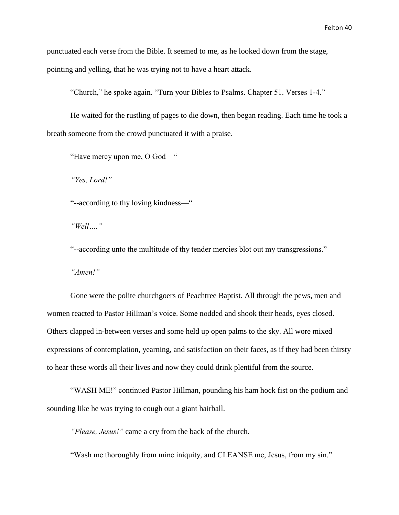punctuated each verse from the Bible. It seemed to me, as he looked down from the stage,

pointing and yelling, that he was trying not to have a heart attack.

"Church," he spoke again. "Turn your Bibles to Psalms. Chapter 51. Verses 1-4."

He waited for the rustling of pages to die down, then began reading. Each time he took a breath someone from the crowd punctuated it with a praise.

"Have mercy upon me, O God—"

*"Yes, Lord!"*

"--according to thy loving kindness—"

*"Well…."*

"--according unto the multitude of thy tender mercies blot out my transgressions."

*"Amen!"*

Gone were the polite churchgoers of Peachtree Baptist. All through the pews, men and women reacted to Pastor Hillman's voice. Some nodded and shook their heads, eyes closed. Others clapped in-between verses and some held up open palms to the sky. All wore mixed expressions of contemplation, yearning, and satisfaction on their faces, as if they had been thirsty to hear these words all their lives and now they could drink plentiful from the source.

"WASH ME!" continued Pastor Hillman, pounding his ham hock fist on the podium and sounding like he was trying to cough out a giant hairball.

*"Please, Jesus!"* came a cry from the back of the church.

"Wash me thoroughly from mine iniquity, and CLEANSE me, Jesus, from my sin."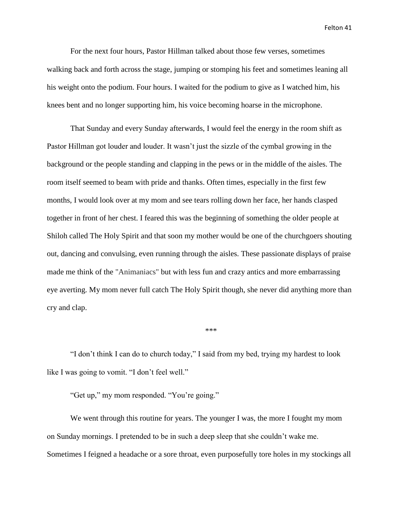For the next four hours, Pastor Hillman talked about those few verses, sometimes walking back and forth across the stage, jumping or stomping his feet and sometimes leaning all his weight onto the podium. Four hours. I waited for the podium to give as I watched him, his knees bent and no longer supporting him, his voice becoming hoarse in the microphone.

That Sunday and every Sunday afterwards, I would feel the energy in the room shift as Pastor Hillman got louder and louder. It wasn't just the sizzle of the cymbal growing in the background or the people standing and clapping in the pews or in the middle of the aisles. The room itself seemed to beam with pride and thanks. Often times, especially in the first few months, I would look over at my mom and see tears rolling down her face, her hands clasped together in front of her chest. I feared this was the beginning of something the older people at Shiloh called The Holy Spirit and that soon my mother would be one of the churchgoers shouting out, dancing and convulsing, even running through the aisles. These passionate displays of praise made me think of the "Animaniacs" but with less fun and crazy antics and more embarrassing eye averting. My mom never full catch The Holy Spirit though, she never did anything more than cry and clap.

\*\*\*

"I don't think I can do to church today," I said from my bed, trying my hardest to look like I was going to vomit. "I don't feel well."

"Get up," my mom responded. "You're going."

We went through this routine for years. The younger I was, the more I fought my mom on Sunday mornings. I pretended to be in such a deep sleep that she couldn't wake me. Sometimes I feigned a headache or a sore throat, even purposefully tore holes in my stockings all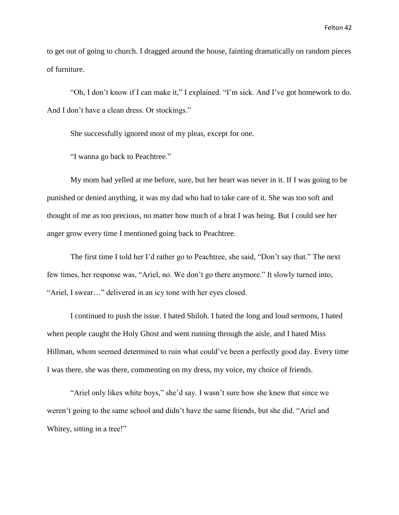to get out of going to church. I dragged around the house, fainting dramatically on random pieces of furniture.

"Oh, I don't know if I can make it," I explained. "I'm sick. And I've got homework to do. And I don't have a clean dress. Or stockings."

She successfully ignored most of my pleas, except for one.

"I wanna go back to Peachtree."

My mom had yelled at me before, sure, but her heart was never in it. If I was going to be punished or denied anything, it was my dad who had to take care of it. She was too soft and thought of me as too precious, no matter how much of a brat I was being. But I could see her anger grow every time I mentioned going back to Peachtree.

The first time I told her I'd rather go to Peachtree, she said, "Don't say that." The next few times, her response was, "Ariel, no. We don't go there anymore." It slowly turned into, "Ariel, I swear…" delivered in an icy tone with her eyes closed.

I continued to push the issue. I hated Shiloh. I hated the long and loud sermons, I hated when people caught the Holy Ghost and went running through the aisle, and I hated Miss Hillman, whom seemed determined to ruin what could've been a perfectly good day. Every time I was there, she was there, commenting on my dress, my voice, my choice of friends.

"Ariel only likes white boys," she'd say. I wasn't sure how she knew that since we weren't going to the same school and didn't have the same friends, but she did. "Ariel and Whitey, sitting in a tree!"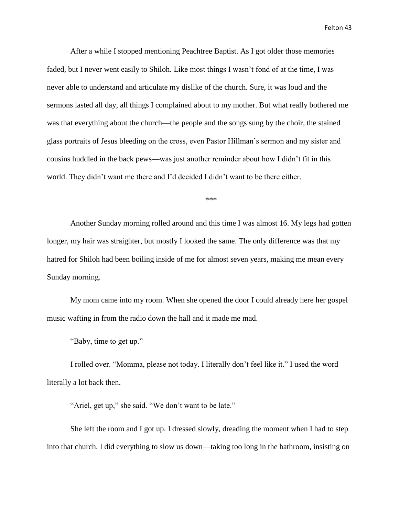After a while I stopped mentioning Peachtree Baptist. As I got older those memories faded, but I never went easily to Shiloh. Like most things I wasn't fond of at the time, I was never able to understand and articulate my dislike of the church. Sure, it was loud and the sermons lasted all day, all things I complained about to my mother. But what really bothered me was that everything about the church—the people and the songs sung by the choir, the stained glass portraits of Jesus bleeding on the cross, even Pastor Hillman's sermon and my sister and cousins huddled in the back pews—was just another reminder about how I didn't fit in this world. They didn't want me there and I'd decided I didn't want to be there either.

\*\*\*

Another Sunday morning rolled around and this time I was almost 16. My legs had gotten longer, my hair was straighter, but mostly I looked the same. The only difference was that my hatred for Shiloh had been boiling inside of me for almost seven years, making me mean every Sunday morning.

My mom came into my room. When she opened the door I could already here her gospel music wafting in from the radio down the hall and it made me mad.

"Baby, time to get up."

I rolled over. "Momma, please not today. I literally don't feel like it." I used the word literally a lot back then.

"Ariel, get up," she said. "We don't want to be late."

She left the room and I got up. I dressed slowly, dreading the moment when I had to step into that church. I did everything to slow us down—taking too long in the bathroom, insisting on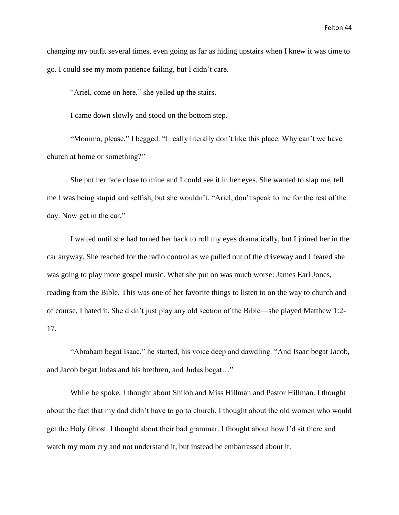changing my outfit several times, even going as far as hiding upstairs when I knew it was time to go. I could see my mom patience failing, but I didn't care.

"Ariel, come on here," she yelled up the stairs.

I came down slowly and stood on the bottom step.

"Momma, please," I begged. "I really literally don't like this place. Why can't we have church at home or something?"

She put her face close to mine and I could see it in her eyes. She wanted to slap me, tell me I was being stupid and selfish, but she wouldn't. "Ariel, don't speak to me for the rest of the day. Now get in the car."

I waited until she had turned her back to roll my eyes dramatically, but I joined her in the car anyway. She reached for the radio control as we pulled out of the driveway and I feared she was going to play more gospel music. What she put on was much worse: James Earl Jones, reading from the Bible. This was one of her favorite things to listen to on the way to church and of course, I hated it. She didn't just play any old section of the Bible—she played Matthew 1:2- 17.

"Abraham begat Isaac," he started, his voice deep and dawdling. "And Isaac begat Jacob, and Jacob begat Judas and his brethren, and Judas begat…"

While he spoke, I thought about Shiloh and Miss Hillman and Pastor Hillman. I thought about the fact that my dad didn't have to go to church. I thought about the old women who would get the Holy Ghost. I thought about their bad grammar. I thought about how I'd sit there and watch my mom cry and not understand it, but instead be embarrassed about it.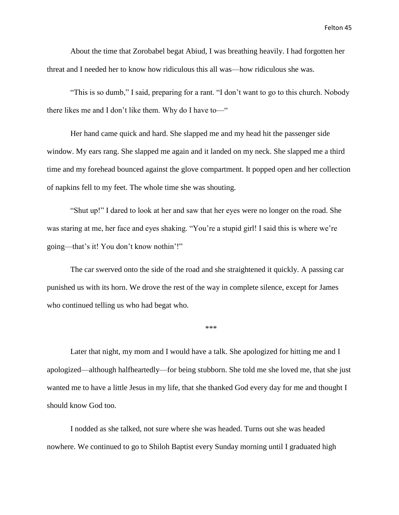About the time that Zorobabel begat Abiud, I was breathing heavily. I had forgotten her threat and I needed her to know how ridiculous this all was—how ridiculous she was.

"This is so dumb," I said, preparing for a rant. "I don't want to go to this church. Nobody there likes me and I don't like them. Why do I have to—"

Her hand came quick and hard. She slapped me and my head hit the passenger side window. My ears rang. She slapped me again and it landed on my neck. She slapped me a third time and my forehead bounced against the glove compartment. It popped open and her collection of napkins fell to my feet. The whole time she was shouting.

"Shut up!" I dared to look at her and saw that her eyes were no longer on the road. She was staring at me, her face and eyes shaking. "You're a stupid girl! I said this is where we're going—that's it! You don't know nothin'!"

The car swerved onto the side of the road and she straightened it quickly. A passing car punished us with its horn. We drove the rest of the way in complete silence, except for James who continued telling us who had begat who.

\*\*\*

Later that night, my mom and I would have a talk. She apologized for hitting me and I apologized—although halfheartedly—for being stubborn. She told me she loved me, that she just wanted me to have a little Jesus in my life, that she thanked God every day for me and thought I should know God too.

I nodded as she talked, not sure where she was headed. Turns out she was headed nowhere. We continued to go to Shiloh Baptist every Sunday morning until I graduated high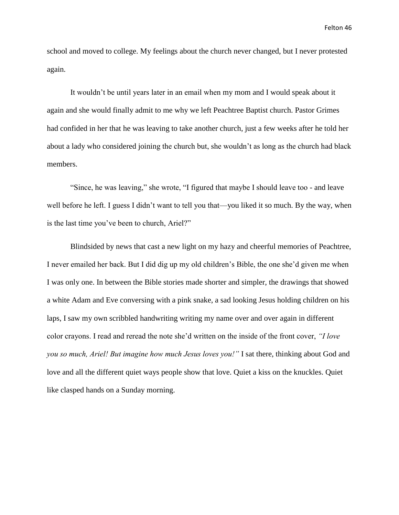school and moved to college. My feelings about the church never changed, but I never protested again.

It wouldn't be until years later in an email when my mom and I would speak about it again and she would finally admit to me why we left Peachtree Baptist church. Pastor Grimes had confided in her that he was leaving to take another church, just a few weeks after he told her about a lady who considered joining the church but, she wouldn't as long as the church had black members.

"Since, he was leaving," she wrote, "I figured that maybe I should leave too - and leave well before he left. I guess I didn't want to tell you that—you liked it so much. By the way, when is the last time you've been to church, Ariel?"

Blindsided by news that cast a new light on my hazy and cheerful memories of Peachtree, I never emailed her back. But I did dig up my old children's Bible, the one she'd given me when I was only one. In between the Bible stories made shorter and simpler, the drawings that showed a white Adam and Eve conversing with a pink snake, a sad looking Jesus holding children on his laps, I saw my own scribbled handwriting writing my name over and over again in different color crayons. I read and reread the note she'd written on the inside of the front cover, *"I love you so much, Ariel! But imagine how much Jesus loves you!"* I sat there, thinking about God and love and all the different quiet ways people show that love. Quiet a kiss on the knuckles. Quiet like clasped hands on a Sunday morning.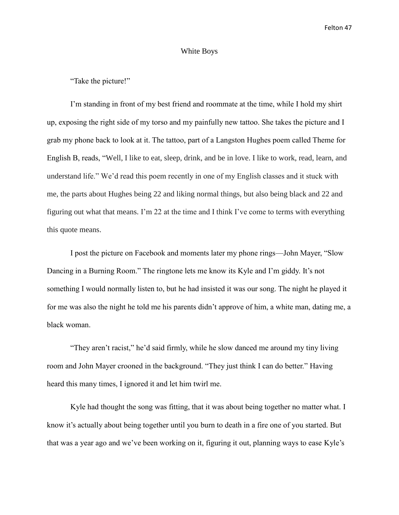## White Boys

## "Take the picture!"

I'm standing in front of my best friend and roommate at the time, while I hold my shirt up, exposing the right side of my torso and my painfully new tattoo. She takes the picture and I grab my phone back to look at it. The tattoo, part of a Langston Hughes poem called Theme for English B, reads, "Well, I like to eat, sleep, drink, and be in love. I like to work, read, learn, and understand life." We'd read this poem recently in one of my English classes and it stuck with me, the parts about Hughes being 22 and liking normal things, but also being black and 22 and figuring out what that means. I'm 22 at the time and I think I've come to terms with everything this quote means.

I post the picture on Facebook and moments later my phone rings—John Mayer, "Slow Dancing in a Burning Room." The ringtone lets me know its Kyle and I'm giddy. It's not something I would normally listen to, but he had insisted it was our song. The night he played it for me was also the night he told me his parents didn't approve of him, a white man, dating me, a black woman.

"They aren't racist," he'd said firmly, while he slow danced me around my tiny living room and John Mayer crooned in the background. "They just think I can do better." Having heard this many times, I ignored it and let him twirl me.

Kyle had thought the song was fitting, that it was about being together no matter what. I know it's actually about being together until you burn to death in a fire one of you started. But that was a year ago and we've been working on it, figuring it out, planning ways to ease Kyle's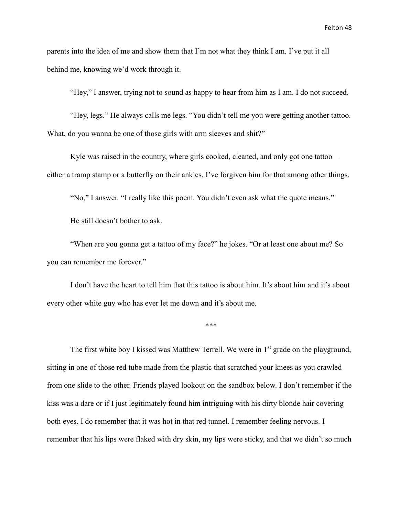parents into the idea of me and show them that I'm not what they think I am. I've put it all behind me, knowing we'd work through it.

"Hey," I answer, trying not to sound as happy to hear from him as I am. I do not succeed.

"Hey, legs." He always calls me legs. "You didn't tell me you were getting another tattoo. What, do you wanna be one of those girls with arm sleeves and shit?"

Kyle was raised in the country, where girls cooked, cleaned, and only got one tattoo either a tramp stamp or a butterfly on their ankles. I've forgiven him for that among other things.

"No," I answer. "I really like this poem. You didn't even ask what the quote means."

He still doesn't bother to ask.

"When are you gonna get a tattoo of my face?" he jokes. "Or at least one about me? So you can remember me forever."

I don't have the heart to tell him that this tattoo is about him. It's about him and it's about every other white guy who has ever let me down and it's about me.

\*\*\*

The first white boy I kissed was Matthew Terrell. We were in 1<sup>st</sup> grade on the playground, sitting in one of those red tube made from the plastic that scratched your knees as you crawled from one slide to the other. Friends played lookout on the sandbox below. I don't remember if the kiss was a dare or if I just legitimately found him intriguing with his dirty blonde hair covering both eyes. I do remember that it was hot in that red tunnel. I remember feeling nervous. I remember that his lips were flaked with dry skin, my lips were sticky, and that we didn't so much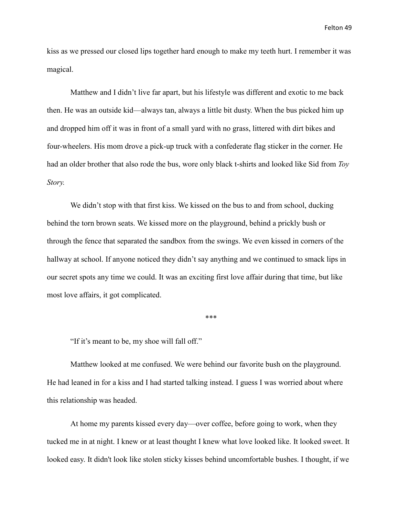kiss as we pressed our closed lips together hard enough to make my teeth hurt. I remember it was magical.

Matthew and I didn't live far apart, but his lifestyle was different and exotic to me back then. He was an outside kid—always tan, always a little bit dusty. When the bus picked him up and dropped him off it was in front of a small yard with no grass, littered with dirt bikes and four-wheelers. His mom drove a pick-up truck with a confederate flag sticker in the corner. He had an older brother that also rode the bus, wore only black t-shirts and looked like Sid from *Toy Story.*

We didn't stop with that first kiss. We kissed on the bus to and from school, ducking behind the torn brown seats. We kissed more on the playground, behind a prickly bush or through the fence that separated the sandbox from the swings. We even kissed in corners of the hallway at school. If anyone noticed they didn't say anything and we continued to smack lips in our secret spots any time we could. It was an exciting first love affair during that time, but like most love affairs, it got complicated.

\*\*\*

"If it's meant to be, my shoe will fall off."

Matthew looked at me confused. We were behind our favorite bush on the playground. He had leaned in for a kiss and I had started talking instead. I guess I was worried about where this relationship was headed.

At home my parents kissed every day—over coffee, before going to work, when they tucked me in at night. I knew or at least thought I knew what love looked like. It looked sweet. It looked easy. It didn't look like stolen sticky kisses behind uncomfortable bushes. I thought, if we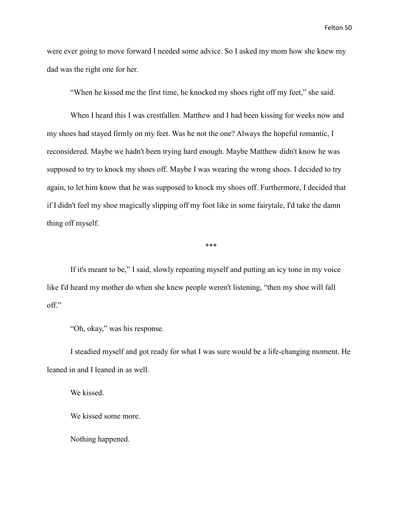were ever going to move forward I needed some advice. So I asked my mom how she knew my dad was the right one for her.

"When he kissed me the first time, he knocked my shoes right off my feet," she said.

When I heard this I was crestfallen. Matthew and I had been kissing for weeks now and my shoes had stayed firmly on my feet. Was he not the one? Always the hopeful romantic, I reconsidered. Maybe we hadn't been trying hard enough. Maybe Matthew didn't know he was supposed to try to knock my shoes off. Maybe I was wearing the wrong shoes. I decided to try again, to let him know that he was supposed to knock my shoes off. Furthermore, I decided that if I didn't feel my shoe magically slipping off my foot like in some fairytale, I'd take the damn thing off myself.

\*\*\*

If it's meant to be," I said, slowly repeating myself and putting an icy tone in my voice like I'd heard my mother do when she knew people weren't listening, "then my shoe will fall off."

"Oh, okay," was his response.

I steadied myself and got ready for what I was sure would be a life-changing moment. He leaned in and I leaned in as well.

We kissed.

We kissed some more.

Nothing happened.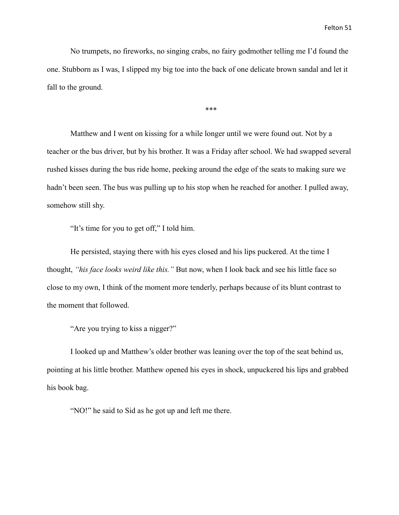No trumpets, no fireworks, no singing crabs, no fairy godmother telling me I'd found the one. Stubborn as I was, I slipped my big toe into the back of one delicate brown sandal and let it fall to the ground.

\*\*\*

Matthew and I went on kissing for a while longer until we were found out. Not by a teacher or the bus driver, but by his brother. It was a Friday after school. We had swapped several rushed kisses during the bus ride home, peeking around the edge of the seats to making sure we hadn't been seen. The bus was pulling up to his stop when he reached for another. I pulled away, somehow still shy.

"It's time for you to get off," I told him.

He persisted, staying there with his eyes closed and his lips puckered. At the time I thought, *"his face looks weird like this."* But now, when I look back and see his little face so close to my own, I think of the moment more tenderly, perhaps because of its blunt contrast to the moment that followed.

"Are you trying to kiss a nigger?"

I looked up and Matthew's older brother was leaning over the top of the seat behind us, pointing at his little brother. Matthew opened his eyes in shock, unpuckered his lips and grabbed his book bag.

"NO!" he said to Sid as he got up and left me there.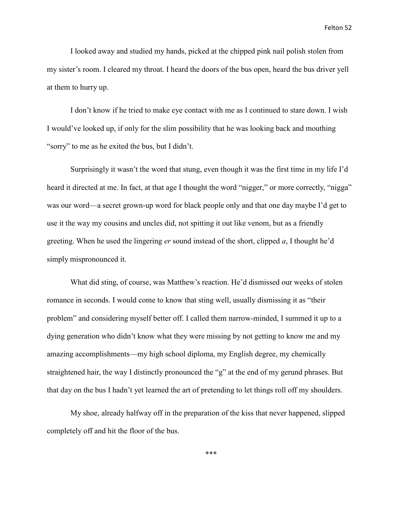I looked away and studied my hands, picked at the chipped pink nail polish stolen from my sister's room. I cleared my throat. I heard the doors of the bus open, heard the bus driver yell at them to hurry up.

I don't know if he tried to make eye contact with me as I continued to stare down. I wish I would've looked up, if only for the slim possibility that he was looking back and mouthing "sorry" to me as he exited the bus, but I didn't.

Surprisingly it wasn't the word that stung, even though it was the first time in my life I'd heard it directed at me. In fact, at that age I thought the word "nigger," or more correctly, "nigga" was our word—a secret grown-up word for black people only and that one day maybe I'd get to use it the way my cousins and uncles did, not spitting it out like venom, but as a friendly greeting. When he used the lingering *er* sound instead of the short, clipped *a*, I thought he'd simply mispronounced it.

What did sting, of course, was Matthew's reaction. He'd dismissed our weeks of stolen romance in seconds. I would come to know that sting well, usually dismissing it as "their problem" and considering myself better off. I called them narrow-minded, I summed it up to a dying generation who didn't know what they were missing by not getting to know me and my amazing accomplishments—my high school diploma, my English degree, my chemically straightened hair, the way I distinctly pronounced the "g" at the end of my gerund phrases. But that day on the bus I hadn't yet learned the art of pretending to let things roll off my shoulders.

My shoe, already halfway off in the preparation of the kiss that never happened, slipped completely off and hit the floor of the bus.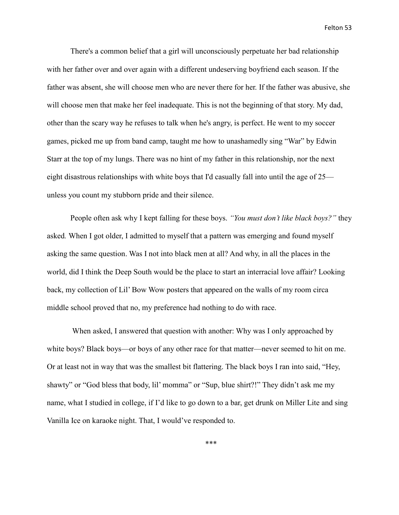There's a common belief that a girl will unconsciously perpetuate her bad relationship with her father over and over again with a different undeserving boyfriend each season. If the father was absent, she will choose men who are never there for her. If the father was abusive, she will choose men that make her feel inadequate. This is not the beginning of that story. My dad, other than the scary way he refuses to talk when he's angry, is perfect. He went to my soccer games, picked me up from band camp, taught me how to unashamedly sing "War" by Edwin Starr at the top of my lungs. There was no hint of my father in this relationship, nor the next eight disastrous relationships with white boys that I'd casually fall into until the age of 25 unless you count my stubborn pride and their silence.

People often ask why I kept falling for these boys. *"You must don't like black boys?"* they asked*.* When I got older, I admitted to myself that a pattern was emerging and found myself asking the same question. Was I not into black men at all? And why, in all the places in the world, did I think the Deep South would be the place to start an interracial love affair? Looking back, my collection of Lil' Bow Wow posters that appeared on the walls of my room circa middle school proved that no, my preference had nothing to do with race.

When asked, I answered that question with another: Why was I only approached by white boys? Black boys—or boys of any other race for that matter—never seemed to hit on me. Or at least not in way that was the smallest bit flattering. The black boys I ran into said, "Hey, shawty" or "God bless that body, lil' momma" or "Sup, blue shirt?!" They didn't ask me my name, what I studied in college, if I'd like to go down to a bar, get drunk on Miller Lite and sing Vanilla Ice on karaoke night. That, I would've responded to.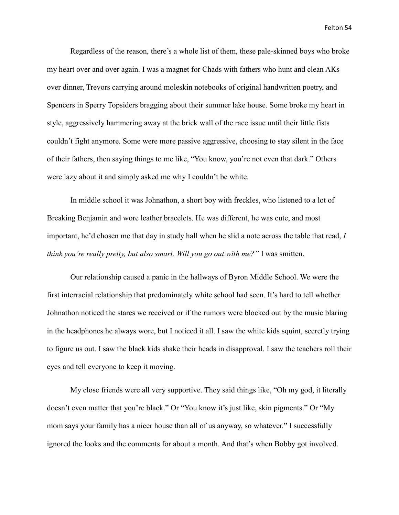Regardless of the reason, there's a whole list of them, these pale-skinned boys who broke my heart over and over again. I was a magnet for Chads with fathers who hunt and clean AKs over dinner, Trevors carrying around moleskin notebooks of original handwritten poetry, and Spencers in Sperry Topsiders bragging about their summer lake house. Some broke my heart in style, aggressively hammering away at the brick wall of the race issue until their little fists couldn't fight anymore. Some were more passive aggressive, choosing to stay silent in the face of their fathers, then saying things to me like, "You know, you're not even that dark." Others were lazy about it and simply asked me why I couldn't be white.

In middle school it was Johnathon, a short boy with freckles, who listened to a lot of Breaking Benjamin and wore leather bracelets. He was different, he was cute, and most important, he'd chosen me that day in study hall when he slid a note across the table that read, *I think you're really pretty, but also smart. Will you go out with me?"* I was smitten.

Our relationship caused a panic in the hallways of Byron Middle School. We were the first interracial relationship that predominately white school had seen. It's hard to tell whether Johnathon noticed the stares we received or if the rumors were blocked out by the music blaring in the headphones he always wore, but I noticed it all. I saw the white kids squint, secretly trying to figure us out. I saw the black kids shake their heads in disapproval. I saw the teachers roll their eyes and tell everyone to keep it moving.

My close friends were all very supportive. They said things like, "Oh my god, it literally doesn't even matter that you're black." Or "You know it's just like, skin pigments." Or "My mom says your family has a nicer house than all of us anyway, so whatever." I successfully ignored the looks and the comments for about a month. And that's when Bobby got involved.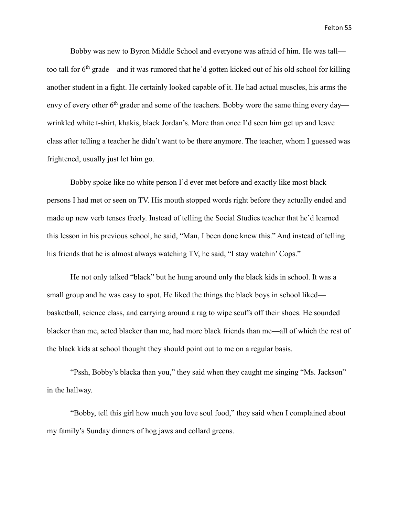Bobby was new to Byron Middle School and everyone was afraid of him. He was tall too tall for 6<sup>th</sup> grade—and it was rumored that he'd gotten kicked out of his old school for killing another student in a fight. He certainly looked capable of it. He had actual muscles, his arms the envy of every other  $6<sup>th</sup>$  grader and some of the teachers. Bobby wore the same thing every day wrinkled white t-shirt, khakis, black Jordan's. More than once I'd seen him get up and leave class after telling a teacher he didn't want to be there anymore. The teacher, whom I guessed was frightened, usually just let him go.

Bobby spoke like no white person I'd ever met before and exactly like most black persons I had met or seen on TV. His mouth stopped words right before they actually ended and made up new verb tenses freely. Instead of telling the Social Studies teacher that he'd learned this lesson in his previous school, he said, "Man, I been done knew this." And instead of telling his friends that he is almost always watching TV, he said, "I stay watchin' Cops."

He not only talked "black" but he hung around only the black kids in school. It was a small group and he was easy to spot. He liked the things the black boys in school liked basketball, science class, and carrying around a rag to wipe scuffs off their shoes. He sounded blacker than me, acted blacker than me, had more black friends than me—all of which the rest of the black kids at school thought they should point out to me on a regular basis.

"Pssh, Bobby's blacka than you," they said when they caught me singing "Ms. Jackson" in the hallway.

"Bobby, tell this girl how much you love soul food," they said when I complained about my family's Sunday dinners of hog jaws and collard greens.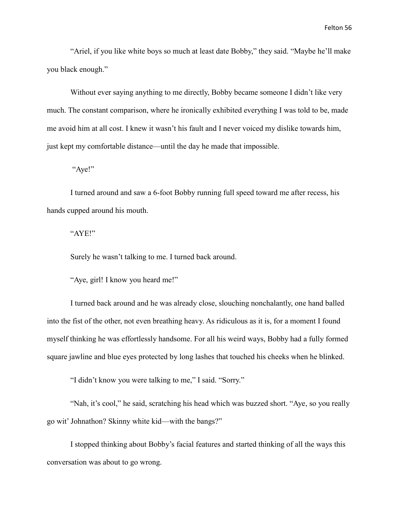"Ariel, if you like white boys so much at least date Bobby," they said. "Maybe he'll make you black enough."

Without ever saying anything to me directly, Bobby became someone I didn't like very much. The constant comparison, where he ironically exhibited everything I was told to be, made me avoid him at all cost. I knew it wasn't his fault and I never voiced my dislike towards him, just kept my comfortable distance—until the day he made that impossible.

"Aye!"

I turned around and saw a 6-foot Bobby running full speed toward me after recess, his hands cupped around his mouth.

"AYE!"

Surely he wasn't talking to me. I turned back around.

"Aye, girl! I know you heard me!"

I turned back around and he was already close, slouching nonchalantly, one hand balled into the fist of the other, not even breathing heavy. As ridiculous as it is, for a moment I found myself thinking he was effortlessly handsome. For all his weird ways, Bobby had a fully formed square jawline and blue eyes protected by long lashes that touched his cheeks when he blinked.

"I didn't know you were talking to me," I said. "Sorry."

"Nah, it's cool," he said, scratching his head which was buzzed short. "Aye, so you really go wit' Johnathon? Skinny white kid—with the bangs?"

I stopped thinking about Bobby's facial features and started thinking of all the ways this conversation was about to go wrong.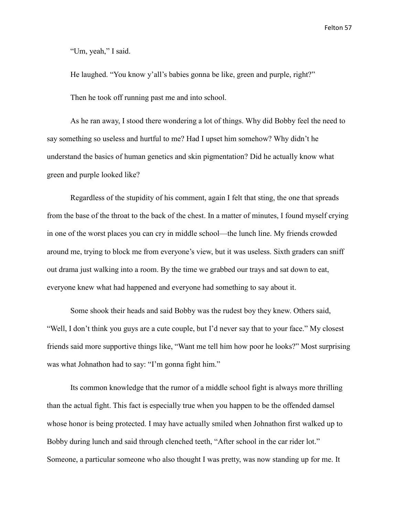"Um, yeah," I said.

He laughed. "You know y'all's babies gonna be like, green and purple, right?"

Then he took off running past me and into school.

As he ran away, I stood there wondering a lot of things. Why did Bobby feel the need to say something so useless and hurtful to me? Had I upset him somehow? Why didn't he understand the basics of human genetics and skin pigmentation? Did he actually know what green and purple looked like?

Regardless of the stupidity of his comment, again I felt that sting, the one that spreads from the base of the throat to the back of the chest. In a matter of minutes, I found myself crying in one of the worst places you can cry in middle school—the lunch line. My friends crowded around me, trying to block me from everyone's view, but it was useless. Sixth graders can sniff out drama just walking into a room. By the time we grabbed our trays and sat down to eat, everyone knew what had happened and everyone had something to say about it.

Some shook their heads and said Bobby was the rudest boy they knew. Others said, "Well, I don't think you guys are a cute couple, but I'd never say that to your face." My closest friends said more supportive things like, "Want me tell him how poor he looks?" Most surprising was what Johnathon had to say: "I'm gonna fight him."

Its common knowledge that the rumor of a middle school fight is always more thrilling than the actual fight. This fact is especially true when you happen to be the offended damsel whose honor is being protected. I may have actually smiled when Johnathon first walked up to Bobby during lunch and said through clenched teeth, "After school in the car rider lot." Someone, a particular someone who also thought I was pretty, was now standing up for me. It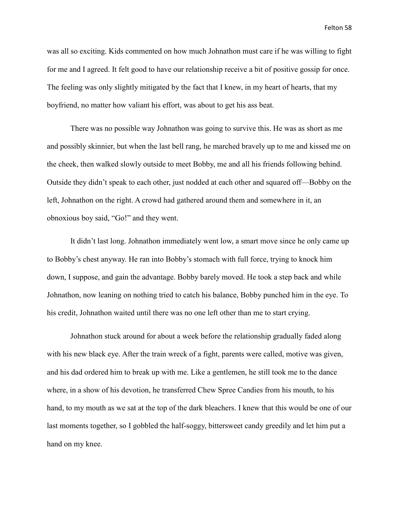was all so exciting. Kids commented on how much Johnathon must care if he was willing to fight for me and I agreed. It felt good to have our relationship receive a bit of positive gossip for once. The feeling was only slightly mitigated by the fact that I knew, in my heart of hearts, that my boyfriend, no matter how valiant his effort, was about to get his ass beat.

There was no possible way Johnathon was going to survive this. He was as short as me and possibly skinnier, but when the last bell rang, he marched bravely up to me and kissed me on the cheek, then walked slowly outside to meet Bobby, me and all his friends following behind. Outside they didn't speak to each other, just nodded at each other and squared off—Bobby on the left, Johnathon on the right. A crowd had gathered around them and somewhere in it, an obnoxious boy said, "Go!" and they went.

It didn't last long. Johnathon immediately went low, a smart move since he only came up to Bobby's chest anyway. He ran into Bobby's stomach with full force, trying to knock him down, I suppose, and gain the advantage. Bobby barely moved. He took a step back and while Johnathon, now leaning on nothing tried to catch his balance, Bobby punched him in the eye. To his credit, Johnathon waited until there was no one left other than me to start crying.

Johnathon stuck around for about a week before the relationship gradually faded along with his new black eye. After the train wreck of a fight, parents were called, motive was given, and his dad ordered him to break up with me. Like a gentlemen, he still took me to the dance where, in a show of his devotion, he transferred Chew Spree Candies from his mouth, to his hand, to my mouth as we sat at the top of the dark bleachers. I knew that this would be one of our last moments together, so I gobbled the half-soggy, bittersweet candy greedily and let him put a hand on my knee.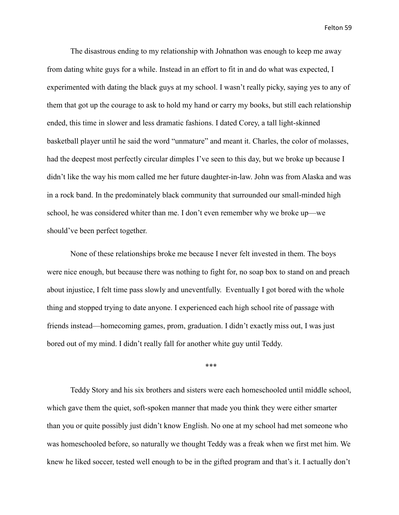The disastrous ending to my relationship with Johnathon was enough to keep me away from dating white guys for a while. Instead in an effort to fit in and do what was expected, I experimented with dating the black guys at my school. I wasn't really picky, saying yes to any of them that got up the courage to ask to hold my hand or carry my books, but still each relationship ended, this time in slower and less dramatic fashions. I dated Corey, a tall light-skinned basketball player until he said the word "unmature" and meant it. Charles, the color of molasses, had the deepest most perfectly circular dimples I've seen to this day, but we broke up because I didn't like the way his mom called me her future daughter-in-law. John was from Alaska and was in a rock band. In the predominately black community that surrounded our small-minded high school, he was considered whiter than me. I don't even remember why we broke up—we should've been perfect together.

None of these relationships broke me because I never felt invested in them. The boys were nice enough, but because there was nothing to fight for, no soap box to stand on and preach about injustice, I felt time pass slowly and uneventfully. Eventually I got bored with the whole thing and stopped trying to date anyone. I experienced each high school rite of passage with friends instead—homecoming games, prom, graduation. I didn't exactly miss out, I was just bored out of my mind. I didn't really fall for another white guy until Teddy.

\*\*\*

Teddy Story and his six brothers and sisters were each homeschooled until middle school, which gave them the quiet, soft-spoken manner that made you think they were either smarter than you or quite possibly just didn't know English. No one at my school had met someone who was homeschooled before, so naturally we thought Teddy was a freak when we first met him. We knew he liked soccer, tested well enough to be in the gifted program and that's it. I actually don't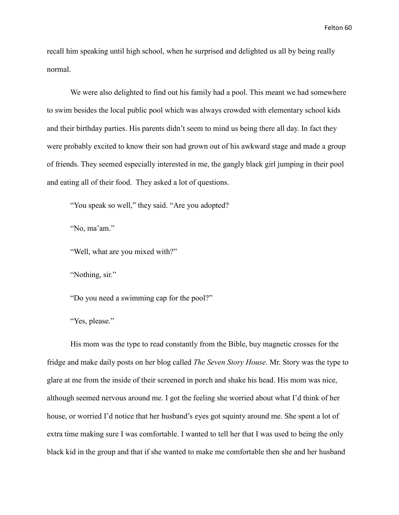recall him speaking until high school, when he surprised and delighted us all by being really normal.

We were also delighted to find out his family had a pool. This meant we had somewhere to swim besides the local public pool which was always crowded with elementary school kids and their birthday parties. His parents didn't seem to mind us being there all day. In fact they were probably excited to know their son had grown out of his awkward stage and made a group of friends. They seemed especially interested in me, the gangly black girl jumping in their pool and eating all of their food. They asked a lot of questions.

"You speak so well," they said. "Are you adopted?

"No, ma'am."

"Well, what are you mixed with?"

"Nothing, sir."

"Do you need a swimming cap for the pool?"

"Yes, please."

His mom was the type to read constantly from the Bible, buy magnetic crosses for the fridge and make daily posts on her blog called *The Seven Story House*. Mr. Story was the type to glare at me from the inside of their screened in porch and shake his head. His mom was nice, although seemed nervous around me. I got the feeling she worried about what I'd think of her house, or worried I'd notice that her husband's eyes got squinty around me. She spent a lot of extra time making sure I was comfortable. I wanted to tell her that I was used to being the only black kid in the group and that if she wanted to make me comfortable then she and her husband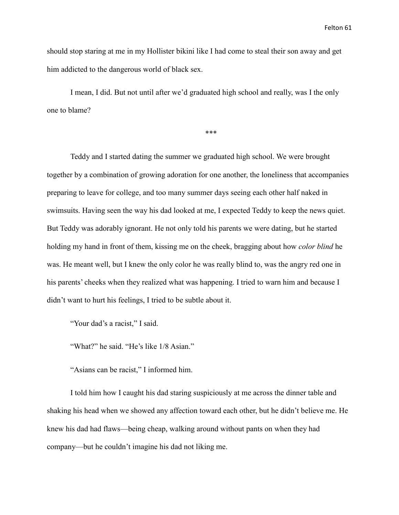should stop staring at me in my Hollister bikini like I had come to steal their son away and get him addicted to the dangerous world of black sex.

I mean, I did. But not until after we'd graduated high school and really, was I the only one to blame?

\*\*\*

Teddy and I started dating the summer we graduated high school. We were brought together by a combination of growing adoration for one another, the loneliness that accompanies preparing to leave for college, and too many summer days seeing each other half naked in swimsuits. Having seen the way his dad looked at me, I expected Teddy to keep the news quiet. But Teddy was adorably ignorant. He not only told his parents we were dating, but he started holding my hand in front of them, kissing me on the cheek, bragging about how *color blind* he was. He meant well, but I knew the only color he was really blind to, was the angry red one in his parents' cheeks when they realized what was happening. I tried to warn him and because I didn't want to hurt his feelings, I tried to be subtle about it.

"Your dad's a racist," I said.

"What?" he said. "He's like 1/8 Asian."

"Asians can be racist," I informed him.

I told him how I caught his dad staring suspiciously at me across the dinner table and shaking his head when we showed any affection toward each other, but he didn't believe me. He knew his dad had flaws—being cheap, walking around without pants on when they had company—but he couldn't imagine his dad not liking me.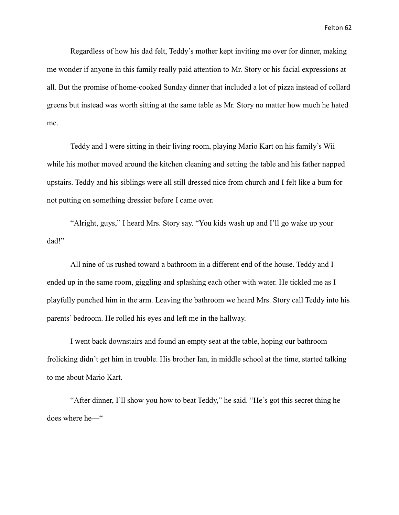Regardless of how his dad felt, Teddy's mother kept inviting me over for dinner, making me wonder if anyone in this family really paid attention to Mr. Story or his facial expressions at all. But the promise of home-cooked Sunday dinner that included a lot of pizza instead of collard greens but instead was worth sitting at the same table as Mr. Story no matter how much he hated me.

Teddy and I were sitting in their living room, playing Mario Kart on his family's Wii while his mother moved around the kitchen cleaning and setting the table and his father napped upstairs. Teddy and his siblings were all still dressed nice from church and I felt like a bum for not putting on something dressier before I came over.

"Alright, guys," I heard Mrs. Story say. "You kids wash up and I'll go wake up your dad!"

All nine of us rushed toward a bathroom in a different end of the house. Teddy and I ended up in the same room, giggling and splashing each other with water. He tickled me as I playfully punched him in the arm. Leaving the bathroom we heard Mrs. Story call Teddy into his parents' bedroom. He rolled his eyes and left me in the hallway.

I went back downstairs and found an empty seat at the table, hoping our bathroom frolicking didn't get him in trouble. His brother Ian, in middle school at the time, started talking to me about Mario Kart.

"After dinner, I'll show you how to beat Teddy," he said. "He's got this secret thing he does where he—"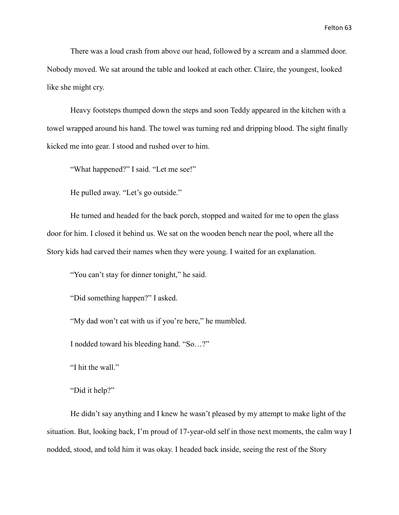There was a loud crash from above our head, followed by a scream and a slammed door. Nobody moved. We sat around the table and looked at each other. Claire, the youngest, looked like she might cry.

Heavy footsteps thumped down the steps and soon Teddy appeared in the kitchen with a towel wrapped around his hand. The towel was turning red and dripping blood. The sight finally kicked me into gear. I stood and rushed over to him.

"What happened?" I said. "Let me see!"

He pulled away. "Let's go outside."

He turned and headed for the back porch, stopped and waited for me to open the glass door for him. I closed it behind us. We sat on the wooden bench near the pool, where all the Story kids had carved their names when they were young. I waited for an explanation.

"You can't stay for dinner tonight," he said.

"Did something happen?" I asked.

"My dad won't eat with us if you're here," he mumbled.

I nodded toward his bleeding hand. "So…?"

"I hit the wall."

"Did it help?"

He didn't say anything and I knew he wasn't pleased by my attempt to make light of the situation. But, looking back, I'm proud of 17-year-old self in those next moments, the calm way I nodded, stood, and told him it was okay. I headed back inside, seeing the rest of the Story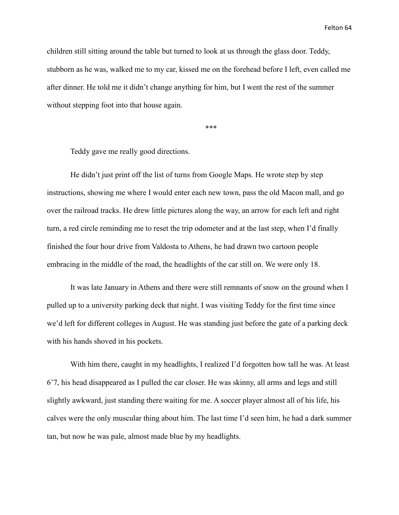children still sitting around the table but turned to look at us through the glass door. Teddy, stubborn as he was, walked me to my car, kissed me on the forehead before I left, even called me after dinner. He told me it didn't change anything for him, but I went the rest of the summer without stepping foot into that house again.

\*\*\*

Teddy gave me really good directions.

He didn't just print off the list of turns from Google Maps. He wrote step by step instructions, showing me where I would enter each new town, pass the old Macon mall, and go over the railroad tracks. He drew little pictures along the way, an arrow for each left and right turn, a red circle reminding me to reset the trip odometer and at the last step, when I'd finally finished the four hour drive from Valdosta to Athens, he had drawn two cartoon people embracing in the middle of the road, the headlights of the car still on. We were only 18.

It was late January in Athens and there were still remnants of snow on the ground when I pulled up to a university parking deck that night. I was visiting Teddy for the first time since we'd left for different colleges in August. He was standing just before the gate of a parking deck with his hands shoved in his pockets.

With him there, caught in my headlights, I realized I'd forgotten how tall he was. At least 6'7, his head disappeared as I pulled the car closer. He was skinny, all arms and legs and still slightly awkward, just standing there waiting for me. A soccer player almost all of his life, his calves were the only muscular thing about him. The last time I'd seen him, he had a dark summer tan, but now he was pale, almost made blue by my headlights.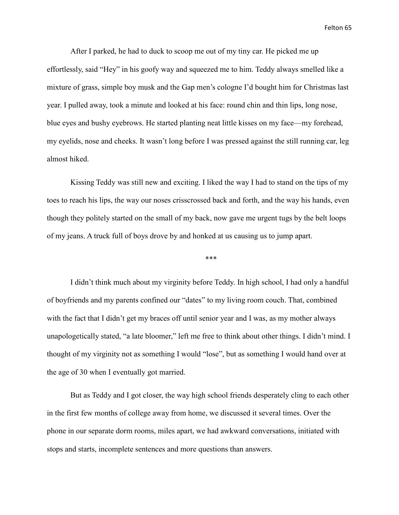After I parked, he had to duck to scoop me out of my tiny car. He picked me up effortlessly, said "Hey" in his goofy way and squeezed me to him. Teddy always smelled like a mixture of grass, simple boy musk and the Gap men's cologne I'd bought him for Christmas last year. I pulled away, took a minute and looked at his face: round chin and thin lips, long nose, blue eyes and bushy eyebrows. He started planting neat little kisses on my face—my forehead, my eyelids, nose and cheeks. It wasn't long before I was pressed against the still running car, leg almost hiked.

Kissing Teddy was still new and exciting. I liked the way I had to stand on the tips of my toes to reach his lips, the way our noses crisscrossed back and forth, and the way his hands, even though they politely started on the small of my back, now gave me urgent tugs by the belt loops of my jeans. A truck full of boys drove by and honked at us causing us to jump apart.

\*\*\*

I didn't think much about my virginity before Teddy. In high school, I had only a handful of boyfriends and my parents confined our "dates" to my living room couch. That, combined with the fact that I didn't get my braces off until senior year and I was, as my mother always unapologetically stated, "a late bloomer," left me free to think about other things. I didn't mind. I thought of my virginity not as something I would "lose", but as something I would hand over at the age of 30 when I eventually got married.

But as Teddy and I got closer, the way high school friends desperately cling to each other in the first few months of college away from home, we discussed it several times. Over the phone in our separate dorm rooms, miles apart, we had awkward conversations, initiated with stops and starts, incomplete sentences and more questions than answers.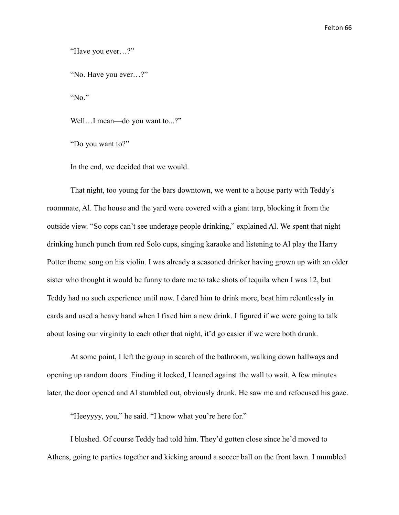"Have you ever…?"

"No. Have you ever…?"

"No."

Well...I mean—do you want to...?"

"Do you want to?"

In the end, we decided that we would.

That night, too young for the bars downtown, we went to a house party with Teddy's roommate, Al. The house and the yard were covered with a giant tarp, blocking it from the outside view. "So cops can't see underage people drinking," explained Al. We spent that night drinking hunch punch from red Solo cups, singing karaoke and listening to Al play the Harry Potter theme song on his violin. I was already a seasoned drinker having grown up with an older sister who thought it would be funny to dare me to take shots of tequila when I was 12, but Teddy had no such experience until now. I dared him to drink more, beat him relentlessly in cards and used a heavy hand when I fixed him a new drink. I figured if we were going to talk about losing our virginity to each other that night, it'd go easier if we were both drunk.

At some point, I left the group in search of the bathroom, walking down hallways and opening up random doors. Finding it locked, I leaned against the wall to wait. A few minutes later, the door opened and Al stumbled out, obviously drunk. He saw me and refocused his gaze.

"Heeyyyy, you," he said. "I know what you're here for."

I blushed. Of course Teddy had told him. They'd gotten close since he'd moved to Athens, going to parties together and kicking around a soccer ball on the front lawn. I mumbled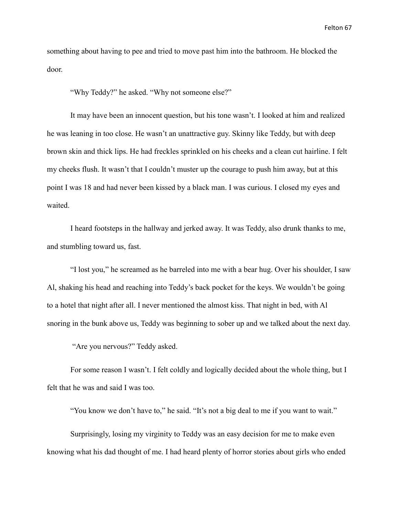something about having to pee and tried to move past him into the bathroom. He blocked the door.

"Why Teddy?" he asked. "Why not someone else?"

It may have been an innocent question, but his tone wasn't. I looked at him and realized he was leaning in too close. He wasn't an unattractive guy. Skinny like Teddy, but with deep brown skin and thick lips. He had freckles sprinkled on his cheeks and a clean cut hairline. I felt my cheeks flush. It wasn't that I couldn't muster up the courage to push him away, but at this point I was 18 and had never been kissed by a black man. I was curious. I closed my eyes and waited.

I heard footsteps in the hallway and jerked away. It was Teddy, also drunk thanks to me, and stumbling toward us, fast.

"I lost you," he screamed as he barreled into me with a bear hug. Over his shoulder, I saw Al, shaking his head and reaching into Teddy's back pocket for the keys. We wouldn't be going to a hotel that night after all. I never mentioned the almost kiss. That night in bed, with Al snoring in the bunk above us, Teddy was beginning to sober up and we talked about the next day.

"Are you nervous?" Teddy asked.

For some reason I wasn't. I felt coldly and logically decided about the whole thing, but I felt that he was and said I was too.

"You know we don't have to," he said. "It's not a big deal to me if you want to wait."

Surprisingly, losing my virginity to Teddy was an easy decision for me to make even knowing what his dad thought of me. I had heard plenty of horror stories about girls who ended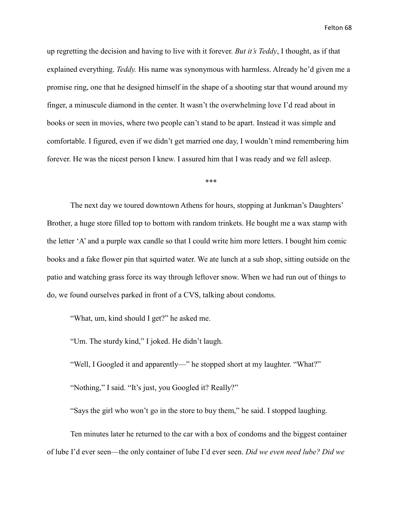up regretting the decision and having to live with it forever. *But it's Teddy*, I thought, as if that explained everything. *Teddy.* His name was synonymous with harmless. Already he'd given me a promise ring, one that he designed himself in the shape of a shooting star that wound around my finger, a minuscule diamond in the center. It wasn't the overwhelming love I'd read about in books or seen in movies, where two people can't stand to be apart. Instead it was simple and comfortable. I figured, even if we didn't get married one day, I wouldn't mind remembering him forever. He was the nicest person I knew. I assured him that I was ready and we fell asleep.

\*\*\*

The next day we toured downtown Athens for hours, stopping at Junkman's Daughters' Brother, a huge store filled top to bottom with random trinkets. He bought me a wax stamp with the letter 'A' and a purple wax candle so that I could write him more letters. I bought him comic books and a fake flower pin that squirted water. We ate lunch at a sub shop, sitting outside on the patio and watching grass force its way through leftover snow. When we had run out of things to do, we found ourselves parked in front of a CVS, talking about condoms.

"What, um, kind should I get?" he asked me.

"Um. The sturdy kind," I joked. He didn't laugh.

"Well, I Googled it and apparently—" he stopped short at my laughter. "What?"

"Nothing," I said. "It's just, you Googled it? Really?"

"Says the girl who won't go in the store to buy them," he said. I stopped laughing.

Ten minutes later he returned to the car with a box of condoms and the biggest container of lube I'd ever seen—the only container of lube I'd ever seen. *Did we even need lube? Did we*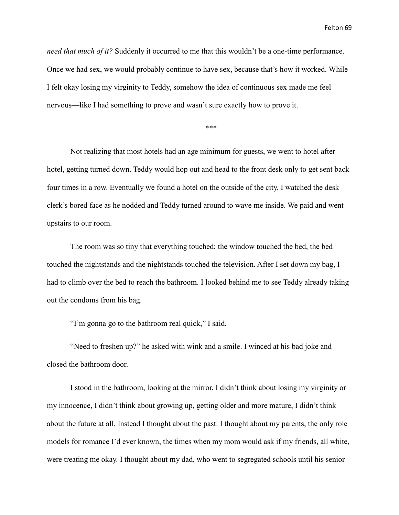Felton 69

*need that much of it?* Suddenly it occurred to me that this wouldn't be a one-time performance. Once we had sex, we would probably continue to have sex, because that's how it worked. While I felt okay losing my virginity to Teddy, somehow the idea of continuous sex made me feel nervous—like I had something to prove and wasn't sure exactly how to prove it.

\*\*\*

Not realizing that most hotels had an age minimum for guests, we went to hotel after hotel, getting turned down. Teddy would hop out and head to the front desk only to get sent back four times in a row. Eventually we found a hotel on the outside of the city. I watched the desk clerk's bored face as he nodded and Teddy turned around to wave me inside. We paid and went upstairs to our room.

The room was so tiny that everything touched; the window touched the bed, the bed touched the nightstands and the nightstands touched the television. After I set down my bag, I had to climb over the bed to reach the bathroom. I looked behind me to see Teddy already taking out the condoms from his bag.

"I'm gonna go to the bathroom real quick," I said.

"Need to freshen up?" he asked with wink and a smile. I winced at his bad joke and closed the bathroom door.

I stood in the bathroom, looking at the mirror. I didn't think about losing my virginity or my innocence, I didn't think about growing up, getting older and more mature, I didn't think about the future at all. Instead I thought about the past. I thought about my parents, the only role models for romance I'd ever known, the times when my mom would ask if my friends, all white, were treating me okay. I thought about my dad, who went to segregated schools until his senior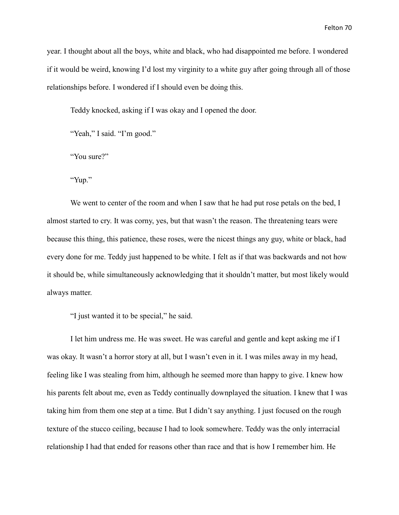year. I thought about all the boys, white and black, who had disappointed me before. I wondered if it would be weird, knowing I'd lost my virginity to a white guy after going through all of those relationships before. I wondered if I should even be doing this.

Teddy knocked, asking if I was okay and I opened the door.

"Yeah," I said. "I'm good."

"You sure?"

"Yup."

We went to center of the room and when I saw that he had put rose petals on the bed, I almost started to cry. It was corny, yes, but that wasn't the reason. The threatening tears were because this thing, this patience, these roses, were the nicest things any guy, white or black, had every done for me. Teddy just happened to be white. I felt as if that was backwards and not how it should be, while simultaneously acknowledging that it shouldn't matter, but most likely would always matter.

"I just wanted it to be special," he said.

I let him undress me. He was sweet. He was careful and gentle and kept asking me if I was okay. It wasn't a horror story at all, but I wasn't even in it. I was miles away in my head, feeling like I was stealing from him, although he seemed more than happy to give. I knew how his parents felt about me, even as Teddy continually downplayed the situation. I knew that I was taking him from them one step at a time. But I didn't say anything. I just focused on the rough texture of the stucco ceiling, because I had to look somewhere. Teddy was the only interracial relationship I had that ended for reasons other than race and that is how I remember him. He